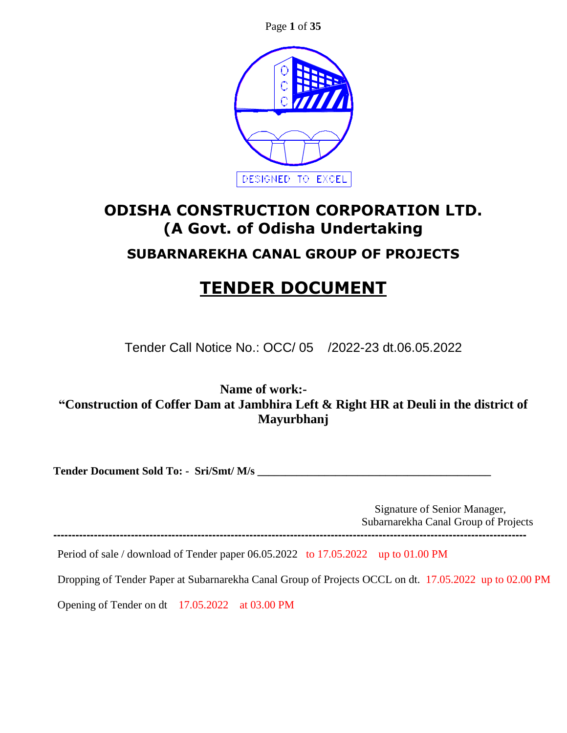Page **1** of **35**



# **ODISHA CONSTRUCTION CORPORATION LTD. (A Govt. of Odisha Undertaking**

# **SUBARNAREKHA CANAL GROUP OF PROJECTS**

# **TENDER DOCUMENT**

Tender Call Notice No.: OCC/ 05 /2022-23 dt.06.05.2022

**Name of work:- "Construction of Coffer Dam at Jambhira Left & Right HR at Deuli in the district of Mayurbhanj**

**Tender Document Sold To: - Sri/Smt/ M/s \_\_\_\_\_\_\_\_\_\_\_\_\_\_\_\_\_\_\_\_\_\_\_\_\_\_\_\_\_\_\_\_\_\_\_\_\_\_\_\_\_\_**

 Signature of Senior Manager, Subarnarekha Canal Group of Projects

Period of sale / download of Tender paper 06.05.2022 to 17.05.2022 up to 01.00 PM

**--------------------------------------------------------------------------------------------------------------------------------**

Dropping of Tender Paper at Subarnarekha Canal Group of Projects OCCL on dt. 17.05.2022 up to 02.00 PM

Opening of Tender on dt 17.05.2022 at 03.00 PM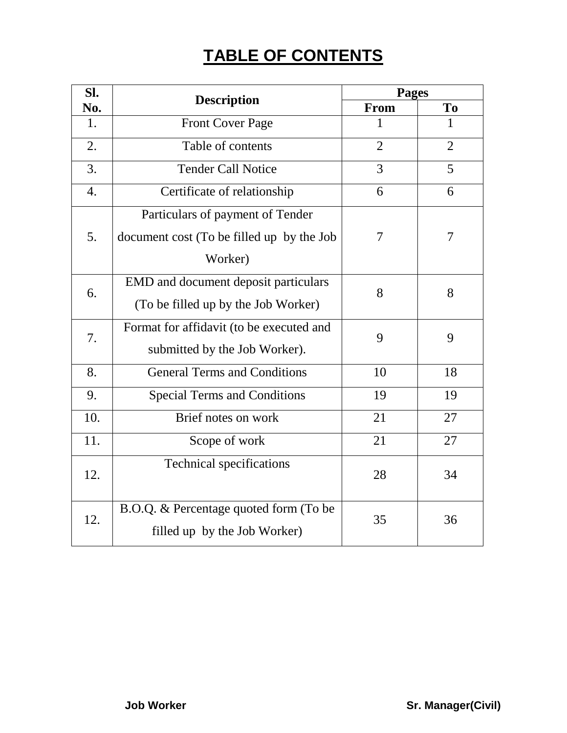# **TABLE OF CONTENTS**

| SI. |                                           | <b>Pages</b>   |                |
|-----|-------------------------------------------|----------------|----------------|
| No. | <b>Description</b>                        | <b>From</b>    | To             |
| 1.  | <b>Front Cover Page</b>                   | 1              | $\mathbf{1}$   |
| 2.  | Table of contents                         | $\overline{2}$ | $\overline{2}$ |
| 3.  | <b>Tender Call Notice</b>                 | 3              | 5              |
| 4.  | Certificate of relationship               | 6              | 6              |
|     | Particulars of payment of Tender          |                |                |
| 5.  | document cost (To be filled up by the Job | 7              | 7              |
|     | Worker)                                   |                |                |
| 6.  | EMD and document deposit particulars      | 8              | 8              |
|     | (To be filled up by the Job Worker)       |                |                |
| 7.  | Format for affidavit (to be executed and  | 9              | 9              |
|     | submitted by the Job Worker).             |                |                |
| 8.  | <b>General Terms and Conditions</b>       | 10             | 18             |
| 9.  | <b>Special Terms and Conditions</b>       | 19             | 19             |
| 10. | Brief notes on work                       | 21             | 27             |
| 11. | Scope of work                             | 21             | 27             |
| 12. | <b>Technical specifications</b>           | 28             | 34             |
|     |                                           |                |                |
| 12. | B.O.Q. & Percentage quoted form (To be    | 35             | 36             |
|     | filled up by the Job Worker)              |                |                |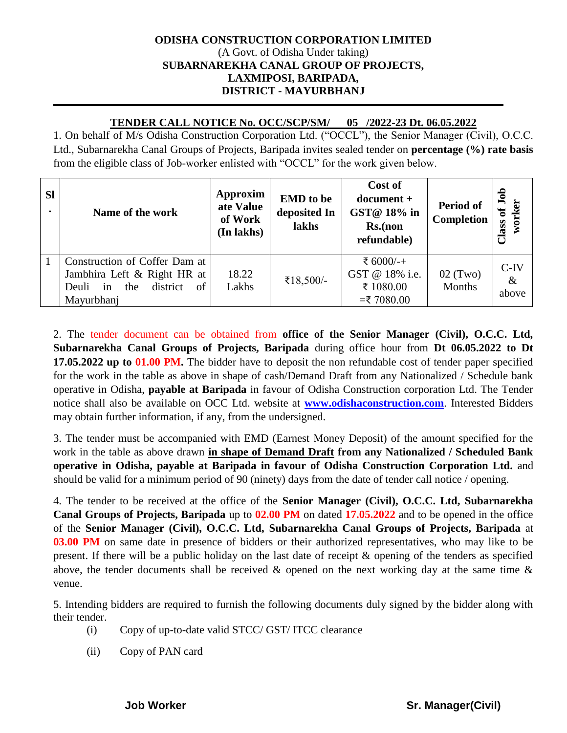#### **ODISHA CONSTRUCTION CORPORATION LIMITED** (A Govt. of Odisha Under taking) **SUBARNAREKHA CANAL GROUP OF PROJECTS, LAXMIPOSI, BARIPADA, DISTRICT - MAYURBHANJ**

#### **TENDER CALL NOTICE No. OCC/SCP/SM/ 05 /2022-23 Dt. 06.05.2022**

1. On behalf of M/s Odisha Construction Corporation Ltd. ("OCCL"), the Senior Manager (Civil), O.C.C. Ltd., Subarnarekha Canal Groups of Projects, Baripada invites sealed tender on **percentage (%) rate basis** from the eligible class of Job-worker enlisted with "OCCL" for the work given below.

| <b>SI</b> | Name of the work                                                                                                   | <b>Approxim</b><br>ate Value<br>of Work<br>(In lakhs) | <b>EMD</b> to be<br>deposited In<br>lakhs | Cost of<br>$document +$<br>GST@ 18% in<br>Rs.(non<br>refundable) | Period of<br><b>Completion</b> | Job<br>worker<br>Class of |
|-----------|--------------------------------------------------------------------------------------------------------------------|-------------------------------------------------------|-------------------------------------------|------------------------------------------------------------------|--------------------------------|---------------------------|
|           | Construction of Coffer Dam at<br>Jambhira Left & Right HR at<br>district<br>the<br>of<br>Deuli<br>in<br>Mayurbhanj | 18.22<br>Lakhs                                        | ₹18,500/-                                 | ₹ 6000/-+<br>GST @ 18% i.e.<br>₹ 1080.00<br>$=$ ₹ 7080.00        | $02$ (Two)<br>Months           | $C-IV$<br>$\&$<br>above   |

2. The tender document can be obtained from **office of the Senior Manager (Civil), O.C.C. Ltd, Subarnarekha Canal Groups of Projects, Baripada** during office hour from **Dt 06.05.2022 to Dt 17.05.2022 up to 01.00 PM.** The bidder have to deposit the non refundable cost of tender paper specified for the work in the table as above in shape of cash/Demand Draft from any Nationalized / Schedule bank operative in Odisha, **payable at Baripada** in favour of Odisha Construction corporation Ltd. The Tender notice shall also be available on OCC Ltd. website at **[www.odishaconstruction.com](http://www.odishaconstruction.com/)**. Interested Bidders may obtain further information, if any, from the undersigned.

3. The tender must be accompanied with EMD (Earnest Money Deposit) of the amount specified for the work in the table as above drawn **in shape of Demand Draft from any Nationalized / Scheduled Bank operative in Odisha, payable at Baripada in favour of Odisha Construction Corporation Ltd.** and should be valid for a minimum period of 90 (ninety) days from the date of tender call notice / opening.

4. The tender to be received at the office of the **Senior Manager (Civil), O.C.C. Ltd, Subarnarekha Canal Groups of Projects, Baripada** up to **02.00 PM** on dated **17.05.2022** and to be opened in the office of the **Senior Manager (Civil), O.C.C. Ltd, Subarnarekha Canal Groups of Projects, Baripada** at **03.00 PM** on same date in presence of bidders or their authorized representatives, who may like to be present. If there will be a public holiday on the last date of receipt & opening of the tenders as specified above, the tender documents shall be received  $\&$  opened on the next working day at the same time  $\&$ venue.

5. Intending bidders are required to furnish the following documents duly signed by the bidder along with their tender.

- (i) Copy of up-to-date valid STCC/ GST/ ITCC clearance
- (ii) Copy of PAN card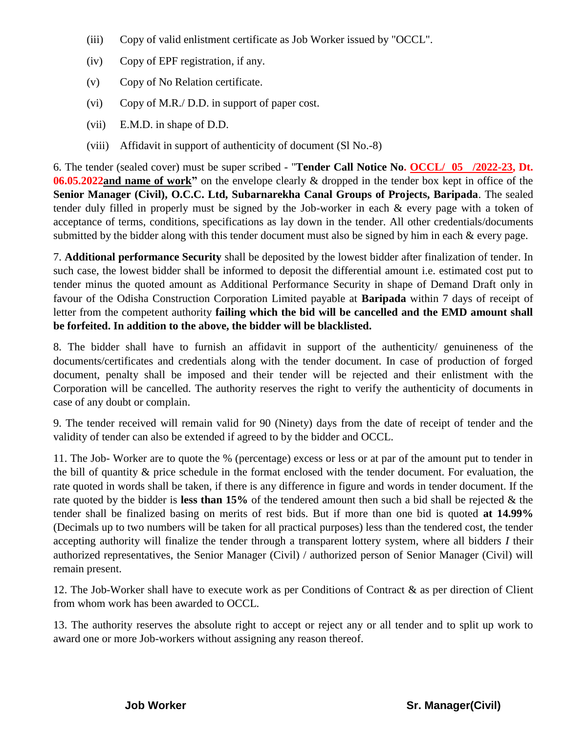- (iii) Copy of valid enlistment certificate as Job Worker issued by "OCCL".
- (iv) Copy of EPF registration, if any.
- (v) Copy of No Relation certificate.
- (vi) Copy of M.R./ D.D. in support of paper cost.
- (vii) E.M.D. in shape of D.D.
- (viii) Affidavit in support of authenticity of document (Sl No.-8)

6. The tender (sealed cover) must be super scribed - "**Tender Call Notice No. OCCL/ 05 /2022-23, Dt. 06.05.2022and name of work"** on the envelope clearly & dropped in the tender box kept in office of the **Senior Manager (Civil), O.C.C. Ltd, Subarnarekha Canal Groups of Projects, Baripada**. The sealed tender duly filled in properly must be signed by the Job-worker in each & every page with a token of acceptance of terms, conditions, specifications as lay down in the tender. All other credentials/documents submitted by the bidder along with this tender document must also be signed by him in each & every page.

7. **Additional performance Security** shall be deposited by the lowest bidder after finalization of tender. In such case, the lowest bidder shall be informed to deposit the differential amount i.e. estimated cost put to tender minus the quoted amount as Additional Performance Security in shape of Demand Draft only in favour of the Odisha Construction Corporation Limited payable at **Baripada** within 7 days of receipt of letter from the competent authority **failing which the bid will be cancelled and the EMD amount shall be forfeited. In addition to the above, the bidder will be blacklisted.**

8. The bidder shall have to furnish an affidavit in support of the authenticity/ genuineness of the documents/certificates and credentials along with the tender document. In case of production of forged document, penalty shall be imposed and their tender will be rejected and their enlistment with the Corporation will be cancelled. The authority reserves the right to verify the authenticity of documents in case of any doubt or complain.

9. The tender received will remain valid for 90 (Ninety) days from the date of receipt of tender and the validity of tender can also be extended if agreed to by the bidder and OCCL.

11. The Job- Worker are to quote the % (percentage) excess or less or at par of the amount put to tender in the bill of quantity & price schedule in the format enclosed with the tender document. For evaluation, the rate quoted in words shall be taken, if there is any difference in figure and words in tender document. If the rate quoted by the bidder is **less than 15%** of the tendered amount then such a bid shall be rejected & the tender shall be finalized basing on merits of rest bids. But if more than one bid is quoted **at 14.99%** (Decimals up to two numbers will be taken for all practical purposes) less than the tendered cost, the tender accepting authority will finalize the tender through a transparent lottery system, where all bidders *I* their authorized representatives, the Senior Manager (Civil) / authorized person of Senior Manager (Civil) will remain present.

12. The Job-Worker shall have to execute work as per Conditions of Contract & as per direction of Client from whom work has been awarded to OCCL.

13. The authority reserves the absolute right to accept or reject any or all tender and to split up work to award one or more Job-workers without assigning any reason thereof.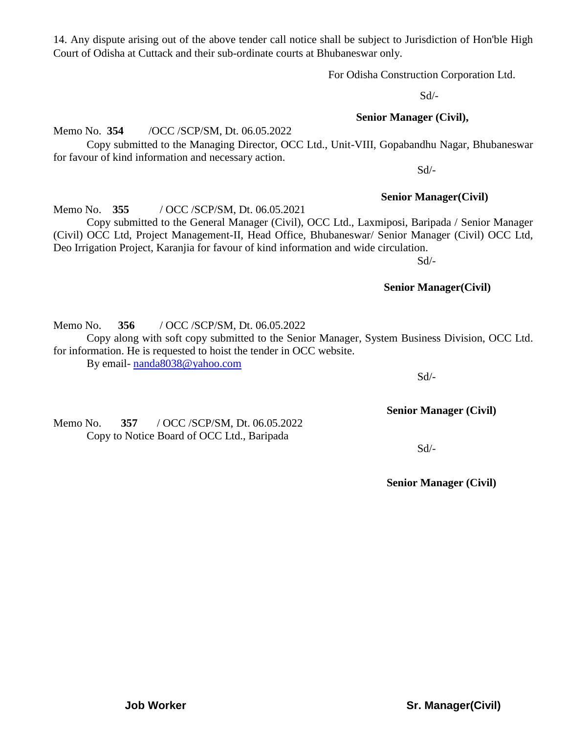14. Any dispute arising out of the above tender call notice shall be subject to Jurisdiction of Hon'ble High Court of Odisha at Cuttack and their sub-ordinate courts at Bhubaneswar only.

For Odisha Construction Corporation Ltd.

 $Sd$ <sup>-</sup>

 **Senior Manager (Civil),** 

Copy submitted to the Managing Director, OCC Ltd., Unit-VIII, Gopabandhu Nagar, Bhubaneswar for favour of kind information and necessary action.

Sd/-

#### **Senior Manager(Civil)**

Copy submitted to the General Manager (Civil), OCC Ltd., Laxmiposi, Baripada / Senior Manager (Civil) OCC Ltd, Project Management-II, Head Office, Bhubaneswar/ Senior Manager (Civil) OCC Ltd, Deo Irrigation Project, Karanjia for favour of kind information and wide circulation.

 $Sd$ <sup>-</sup>

#### **Senior Manager(Civil)**

Memo No. **356** / OCC /SCP/SM, Dt. 06.05.2022

Memo No. **354** /OCC /SCP/SM, Dt. 06.05.2022

Memo No. **355** / OCC /SCP/SM, Dt. 06.05.2021

Copy along with soft copy submitted to the Senior Manager, System Business Division, OCC Ltd. for information. He is requested to hoist the tender in OCC website.

By email- [nanda8038@yahoo.com](mailto:nanda8038@yahoo.com)

**Senior Manager (Civil)**

 $Sd$ <sup>-</sup>

Memo No. **357** / OCC /SCP/SM, Dt. 06.05.2022 Copy to Notice Board of OCC Ltd., Baripada

**Senior Manager (Civil)**

**Job Worker Sr. Manager(Civil)** 

Sd/-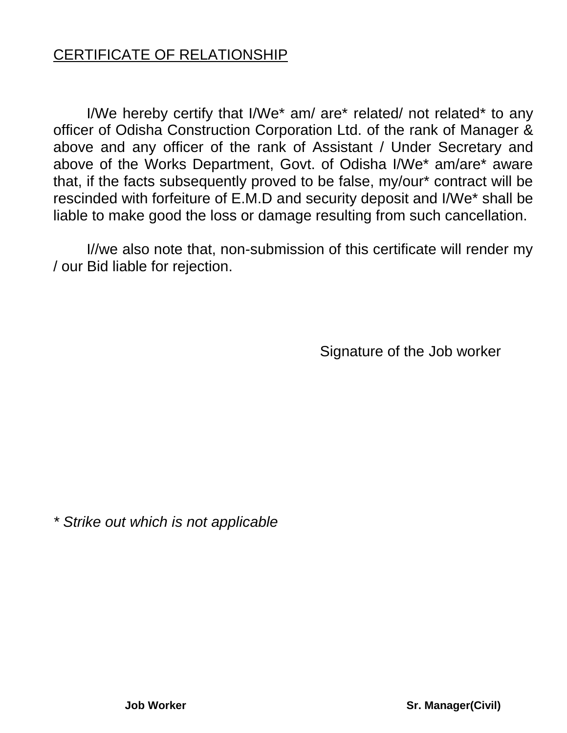# CERTIFICATE OF RELATIONSHIP

I/We hereby certify that I/We\* am/ are\* related/ not related\* to any officer of Odisha Construction Corporation Ltd. of the rank of Manager & above and any officer of the rank of Assistant / Under Secretary and above of the Works Department, Govt. of Odisha I/We\* am/are\* aware that, if the facts subsequently proved to be false, my/our\* contract will be rescinded with forfeiture of E.M.D and security deposit and I/We\* shall be liable to make good the loss or damage resulting from such cancellation.

I//we also note that, non-submission of this certificate will render my / our Bid liable for rejection.

Signature of the Job worker

*\* Strike out which is not applicable*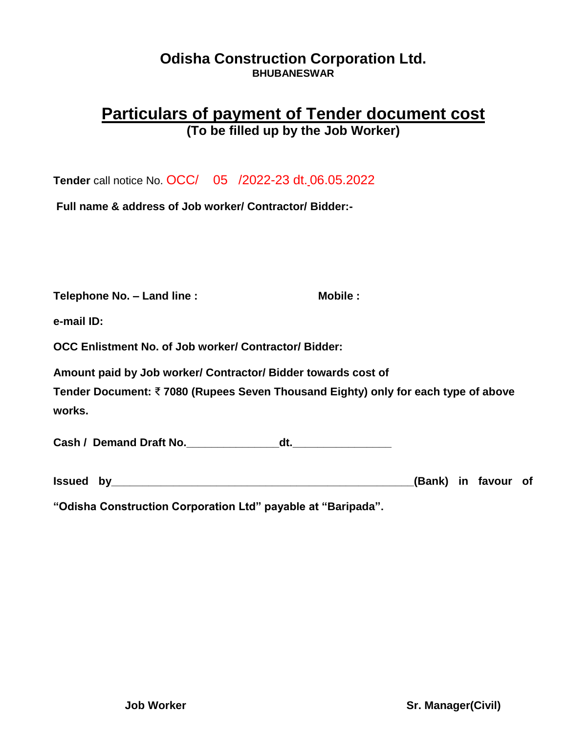## **Odisha Construction Corporation Ltd. BHUBANESWAR**

# **Particulars of payment of Tender document cost (To be filled up by the Job Worker)**

**Tender** call notice No. OCC/ 05 /2022-23 dt. 06.05.2022

**Full name & address of Job worker/ Contractor/ Bidder:-**

| Telephone No. - Land line :                                                                 | Mobile: |
|---------------------------------------------------------------------------------------------|---------|
| e-mail ID:                                                                                  |         |
| OCC Enlistment No. of Job worker/ Contractor/ Bidder:                                       |         |
| Amount paid by Job worker/ Contractor/ Bidder towards cost of                               |         |
| Tender Document: ₹7080 (Rupees Seven Thousand Eighty) only for each type of above<br>works. |         |
| Cash / Demand Draft No.<br>dt.                                                              |         |

| <b>Issued</b> | bv | (Bank) |  | in favour |  |
|---------------|----|--------|--|-----------|--|
|---------------|----|--------|--|-----------|--|

**"Odisha Construction Corporation Ltd" payable at "Baripada".**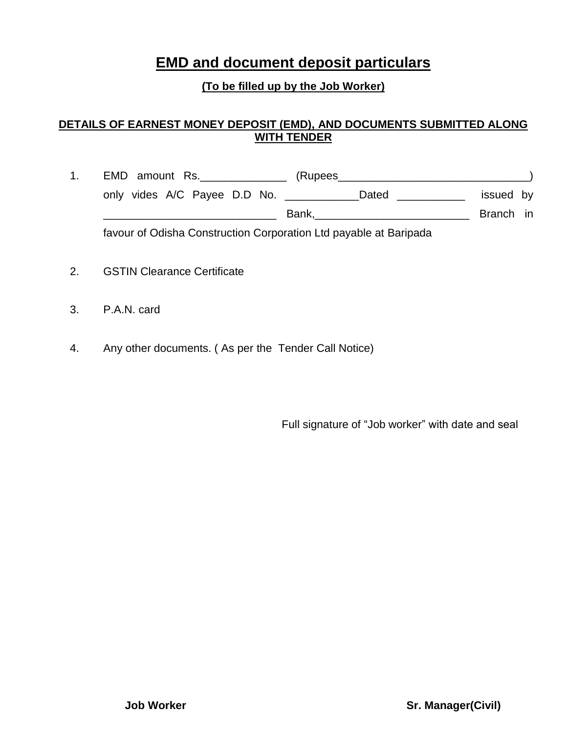# **EMD and document deposit particulars**

### **(To be filled up by the Job Worker)**

#### **DETAILS OF EARNEST MONEY DEPOSIT (EMD), AND DOCUMENTS SUBMITTED ALONG WITH TENDER**

- 1. EMD amount Rs.\_\_\_\_\_\_\_\_\_\_\_\_\_\_ (Rupees\_\_\_\_\_\_\_\_\_\_\_\_\_\_\_\_\_\_\_\_\_\_\_\_\_\_\_\_\_\_\_) only vides A/C Payee D.D No. \_\_\_\_\_\_\_\_\_\_\_\_\_\_Dated \_\_\_\_\_\_\_\_\_\_\_\_ issued by \_\_\_\_\_\_\_\_\_\_\_\_\_\_\_\_\_\_\_\_\_\_\_\_\_\_\_\_ Bank,\_\_\_\_\_\_\_\_\_\_\_\_\_\_\_\_\_\_\_\_\_\_\_\_\_ Branch in favour of Odisha Construction Corporation Ltd payable at Baripada
- 2. GSTIN Clearance Certificate
- 3. P.A.N. card
- 4. Any other documents. ( As per the Tender Call Notice)

Full signature of "Job worker" with date and seal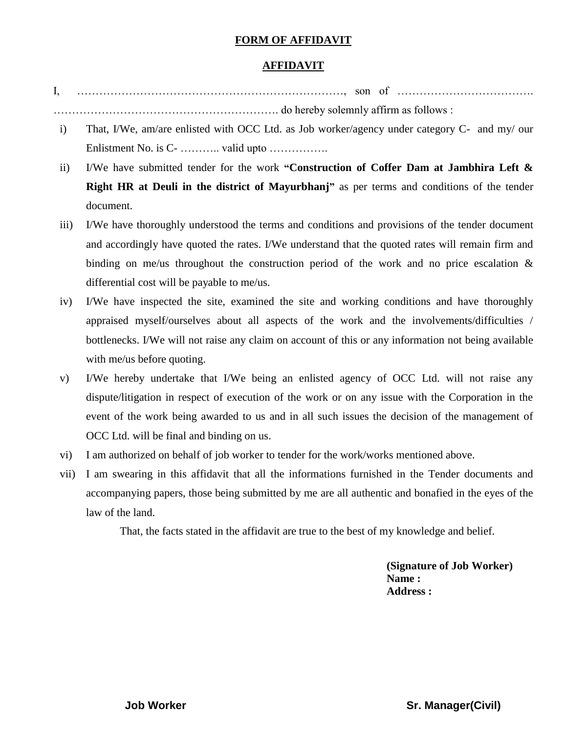#### **FORM OF AFFIDAVIT**

#### **AFFIDAVIT**

- I, ………………………………………………………………, son of ………………………………. ……………………………………………………. do hereby solemnly affirm as follows :
- i) That, I/We, am/are enlisted with OCC Ltd. as Job worker/agency under category C- and my/ our Enlistment No. is C- ……….. valid upto …………….
- ii) I/We have submitted tender for the work **"Construction of Coffer Dam at Jambhira Left & Right HR at Deuli in the district of Mayurbhanj"** as per terms and conditions of the tender document.
- iii) I/We have thoroughly understood the terms and conditions and provisions of the tender document and accordingly have quoted the rates. I/We understand that the quoted rates will remain firm and binding on me/us throughout the construction period of the work and no price escalation  $\&$ differential cost will be payable to me/us.
- iv) I/We have inspected the site, examined the site and working conditions and have thoroughly appraised myself/ourselves about all aspects of the work and the involvements/difficulties / bottlenecks. I/We will not raise any claim on account of this or any information not being available with me/us before quoting.
- v) I/We hereby undertake that I/We being an enlisted agency of OCC Ltd. will not raise any dispute/litigation in respect of execution of the work or on any issue with the Corporation in the event of the work being awarded to us and in all such issues the decision of the management of OCC Ltd. will be final and binding on us.
- vi) I am authorized on behalf of job worker to tender for the work/works mentioned above.
- vii) I am swearing in this affidavit that all the informations furnished in the Tender documents and accompanying papers, those being submitted by me are all authentic and bonafied in the eyes of the law of the land.

That, the facts stated in the affidavit are true to the best of my knowledge and belief.

**(Signature of Job Worker) Name : Address :**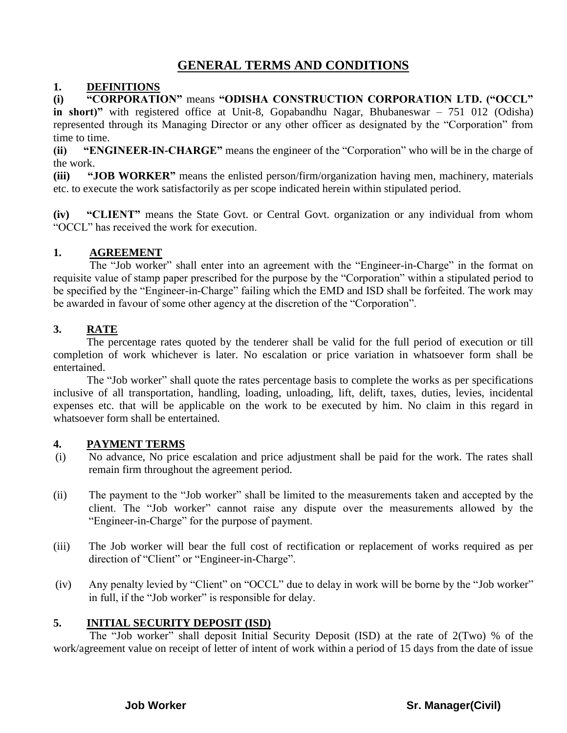## **GENERAL TERMS AND CONDITIONS**

#### **1. DEFINITIONS**

**(i) "CORPORATION"** means **"ODISHA CONSTRUCTION CORPORATION LTD. ("OCCL" in short)"** with registered office at Unit-8, Gopabandhu Nagar, Bhubaneswar – 751 012 (Odisha) represented through its Managing Director or any other officer as designated by the "Corporation" from time to time.

**(ii) "ENGINEER-IN-CHARGE"** means the engineer of the "Corporation" who will be in the charge of the work.

**(iii)** "JOB WORKER" means the enlisted person/firm/organization having men, machinery, materials etc. to execute the work satisfactorily as per scope indicated herein within stipulated period.

**(iv) "CLIENT"** means the State Govt. or Central Govt. organization or any individual from whom "OCCL" has received the work for execution.

#### **1. AGREEMENT**

The "Job worker" shall enter into an agreement with the "Engineer-in-Charge" in the format on requisite value of stamp paper prescribed for the purpose by the "Corporation" within a stipulated period to be specified by the "Engineer-in-Charge" failing which the EMD and ISD shall be forfeited. The work may be awarded in favour of some other agency at the discretion of the "Corporation".

#### **3. RATE**

The percentage rates quoted by the tenderer shall be valid for the full period of execution or till completion of work whichever is later. No escalation or price variation in whatsoever form shall be entertained.

The "Job worker" shall quote the rates percentage basis to complete the works as per specifications inclusive of all transportation, handling, loading, unloading, lift, delift, taxes, duties, levies, incidental expenses etc. that will be applicable on the work to be executed by him. No claim in this regard in whatsoever form shall be entertained.

#### **4. PAYMENT TERMS**

- (i) No advance, No price escalation and price adjustment shall be paid for the work. The rates shall remain firm throughout the agreement period.
- (ii) The payment to the "Job worker" shall be limited to the measurements taken and accepted by the client. The "Job worker" cannot raise any dispute over the measurements allowed by the "Engineer-in-Charge" for the purpose of payment.
- (iii) The Job worker will bear the full cost of rectification or replacement of works required as per direction of "Client" or "Engineer-in-Charge".
- (iv) Any penalty levied by "Client" on "OCCL" due to delay in work will be borne by the "Job worker" in full, if the "Job worker" is responsible for delay.

#### **5. INITIAL SECURITY DEPOSIT (ISD)**

The "Job worker" shall deposit Initial Security Deposit (ISD) at the rate of 2(Two) % of the work/agreement value on receipt of letter of intent of work within a period of 15 days from the date of issue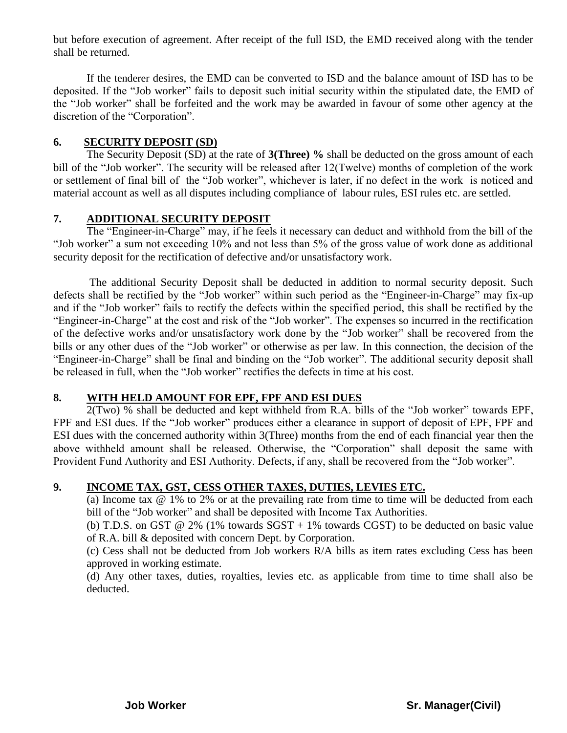but before execution of agreement. After receipt of the full ISD, the EMD received along with the tender shall be returned.

If the tenderer desires, the EMD can be converted to ISD and the balance amount of ISD has to be deposited. If the "Job worker" fails to deposit such initial security within the stipulated date, the EMD of the "Job worker" shall be forfeited and the work may be awarded in favour of some other agency at the discretion of the "Corporation".

#### **6. SECURITY DEPOSIT (SD)**

The Security Deposit (SD) at the rate of **3(Three) %** shall be deducted on the gross amount of each bill of the "Job worker". The security will be released after 12(Twelve) months of completion of the work or settlement of final bill of the "Job worker", whichever is later, if no defect in the work is noticed and material account as well as all disputes including compliance of labour rules, ESI rules etc. are settled.

#### **7. ADDITIONAL SECURITY DEPOSIT**

The "Engineer-in-Charge" may, if he feels it necessary can deduct and withhold from the bill of the "Job worker" a sum not exceeding 10% and not less than 5% of the gross value of work done as additional security deposit for the rectification of defective and/or unsatisfactory work.

The additional Security Deposit shall be deducted in addition to normal security deposit. Such defects shall be rectified by the "Job worker" within such period as the "Engineer-in-Charge" may fix-up and if the "Job worker" fails to rectify the defects within the specified period, this shall be rectified by the "Engineer-in-Charge" at the cost and risk of the "Job worker". The expenses so incurred in the rectification of the defective works and/or unsatisfactory work done by the "Job worker" shall be recovered from the bills or any other dues of the "Job worker" or otherwise as per law. In this connection, the decision of the "Engineer-in-Charge" shall be final and binding on the "Job worker". The additional security deposit shall be released in full, when the "Job worker" rectifies the defects in time at his cost.

#### **8. WITH HELD AMOUNT FOR EPF, FPF AND ESI DUES**

 $2(Two)$ % shall be deducted and kept withheld from R.A. bills of the "Job worker" towards EPF, FPF and ESI dues. If the "Job worker" produces either a clearance in support of deposit of EPF, FPF and ESI dues with the concerned authority within 3(Three) months from the end of each financial year then the above withheld amount shall be released. Otherwise, the "Corporation" shall deposit the same with Provident Fund Authority and ESI Authority. Defects, if any, shall be recovered from the "Job worker".

#### **9. INCOME TAX, GST, CESS OTHER TAXES, DUTIES, LEVIES ETC.**

(a) Income tax @ 1% to 2% or at the prevailing rate from time to time will be deducted from each bill of the "Job worker" and shall be deposited with Income Tax Authorities.

(b) T.D.S. on GST  $@ 2\%$  (1% towards SGST + 1% towards CGST) to be deducted on basic value of R.A. bill & deposited with concern Dept. by Corporation.

(c) Cess shall not be deducted from Job workers R/A bills as item rates excluding Cess has been approved in working estimate.

(d) Any other taxes, duties, royalties, levies etc. as applicable from time to time shall also be deducted.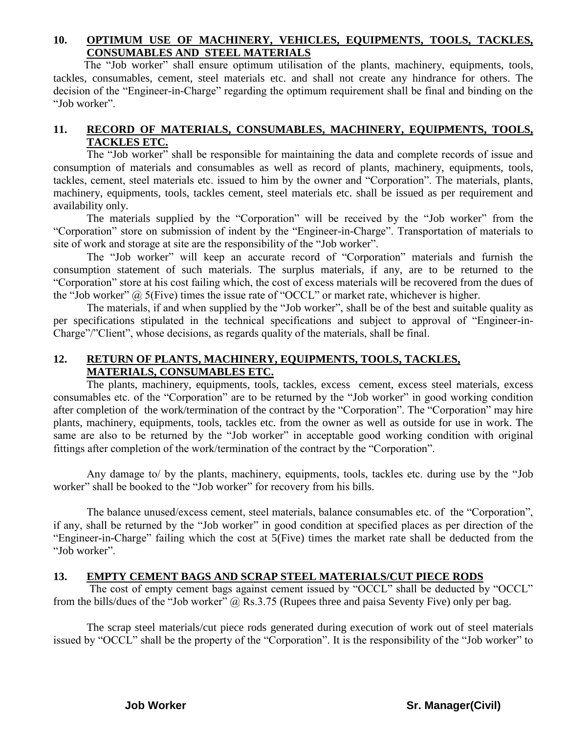#### **10. OPTIMUM USE OF MACHINERY, VEHICLES, EQUIPMENTS, TOOLS, TACKLES, CONSUMABLES AND STEEL MATERIALS**

The "Job worker" shall ensure optimum utilisation of the plants, machinery, equipments, tools, tackles, consumables, cement, steel materials etc. and shall not create any hindrance for others. The decision of the "Engineer-in-Charge" regarding the optimum requirement shall be final and binding on the "Job worker".

#### **11. RECORD OF MATERIALS, CONSUMABLES, MACHINERY, EQUIPMENTS, TOOLS, TACKLES ETC.**

The "Job worker" shall be responsible for maintaining the data and complete records of issue and consumption of materials and consumables as well as record of plants, machinery, equipments, tools, tackles, cement, steel materials etc. issued to him by the owner and "Corporation". The materials, plants, machinery, equipments, tools, tackles cement, steel materials etc. shall be issued as per requirement and availability only.

The materials supplied by the "Corporation" will be received by the "Job worker" from the "Corporation" store on submission of indent by the "Engineer-in-Charge". Transportation of materials to site of work and storage at site are the responsibility of the "Job worker".

The "Job worker" will keep an accurate record of "Corporation" materials and furnish the consumption statement of such materials. The surplus materials, if any, are to be returned to the "Corporation" store at his cost failing which, the cost of excess materials will be recovered from the dues of the "Job worker" @ 5(Five) times the issue rate of "OCCL" or market rate, whichever is higher.

The materials, if and when supplied by the "Job worker", shall be of the best and suitable quality as per specifications stipulated in the technical specifications and subject to approval of "Engineer-in-Charge"/"Client", whose decisions, as regards quality of the materials, shall be final.

#### **12. RETURN OF PLANTS, MACHINERY, EQUIPMENTS, TOOLS, TACKLES, MATERIALS, CONSUMABLES ETC.**

The plants, machinery, equipments, tools, tackles, excess cement, excess steel materials, excess consumables etc. of the "Corporation" are to be returned by the "Job worker" in good working condition after completion of the work/termination of the contract by the "Corporation". The "Corporation" may hire plants, machinery, equipments, tools, tackles etc. from the owner as well as outside for use in work. The same are also to be returned by the "Job worker" in acceptable good working condition with original fittings after completion of the work/termination of the contract by the "Corporation".

Any damage to/ by the plants, machinery, equipments, tools, tackles etc. during use by the "Job worker" shall be booked to the "Job worker" for recovery from his bills.

The balance unused/excess cement, steel materials, balance consumables etc. of the "Corporation", if any, shall be returned by the "Job worker" in good condition at specified places as per direction of the "Engineer-in-Charge" failing which the cost at 5(Five) times the market rate shall be deducted from the "Job worker".

#### **13. EMPTY CEMENT BAGS AND SCRAP STEEL MATERIALS/CUT PIECE RODS**

The cost of empty cement bags against cement issued by "OCCL" shall be deducted by "OCCL" from the bills/dues of the "Job worker" @ Rs.3.75 (Rupees three and paisa Seventy Five) only per bag.

The scrap steel materials/cut piece rods generated during execution of work out of steel materials issued by "OCCL" shall be the property of the "Corporation". It is the responsibility of the "Job worker" to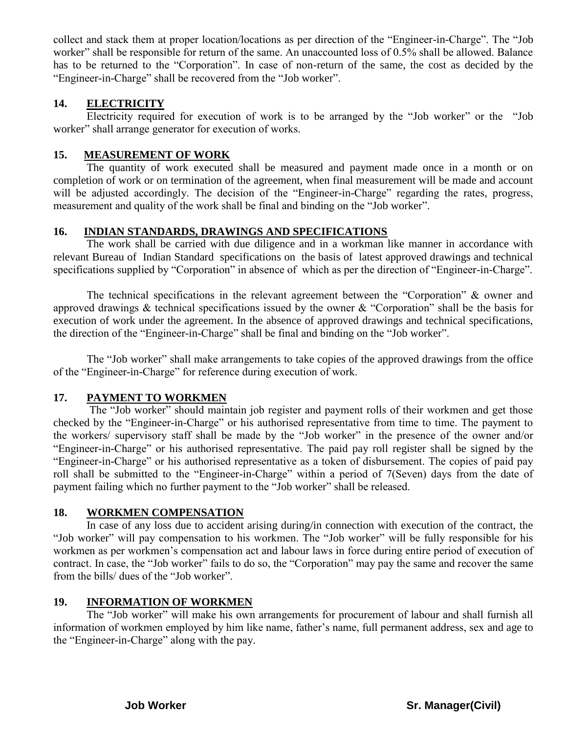collect and stack them at proper location/locations as per direction of the "Engineer-in-Charge". The "Job worker" shall be responsible for return of the same. An unaccounted loss of 0.5% shall be allowed. Balance has to be returned to the "Corporation". In case of non-return of the same, the cost as decided by the "Engineer-in-Charge" shall be recovered from the "Job worker".

#### **14. ELECTRICITY**

Electricity required for execution of work is to be arranged by the "Job worker" or the "Job worker" shall arrange generator for execution of works.

#### **15. MEASUREMENT OF WORK**

The quantity of work executed shall be measured and payment made once in a month or on completion of work or on termination of the agreement, when final measurement will be made and account will be adjusted accordingly. The decision of the "Engineer-in-Charge" regarding the rates, progress, measurement and quality of the work shall be final and binding on the "Job worker".

#### **16. INDIAN STANDARDS, DRAWINGS AND SPECIFICATIONS**

The work shall be carried with due diligence and in a workman like manner in accordance with relevant Bureau of Indian Standard specifications on the basis of latest approved drawings and technical specifications supplied by "Corporation" in absence of which as per the direction of "Engineer-in-Charge".

The technical specifications in the relevant agreement between the "Corporation" & owner and approved drawings & technical specifications issued by the owner & "Corporation" shall be the basis for execution of work under the agreement. In the absence of approved drawings and technical specifications, the direction of the "Engineer-in-Charge" shall be final and binding on the "Job worker".

The "Job worker" shall make arrangements to take copies of the approved drawings from the office of the "Engineer-in-Charge" for reference during execution of work.

#### **17. PAYMENT TO WORKMEN**

The "Job worker" should maintain job register and payment rolls of their workmen and get those checked by the "Engineer-in-Charge" or his authorised representative from time to time. The payment to the workers/ supervisory staff shall be made by the "Job worker" in the presence of the owner and/or "Engineer-in-Charge" or his authorised representative. The paid pay roll register shall be signed by the "Engineer-in-Charge" or his authorised representative as a token of disbursement. The copies of paid pay roll shall be submitted to the "Engineer-in-Charge" within a period of 7(Seven) days from the date of payment failing which no further payment to the "Job worker" shall be released.

#### **18. WORKMEN COMPENSATION**

In case of any loss due to accident arising during/in connection with execution of the contract, the "Job worker" will pay compensation to his workmen. The "Job worker" will be fully responsible for his workmen as per workmen"s compensation act and labour laws in force during entire period of execution of contract. In case, the "Job worker" fails to do so, the "Corporation" may pay the same and recover the same from the bills/ dues of the "Job worker".

#### **19. INFORMATION OF WORKMEN**

The "Job worker" will make his own arrangements for procurement of labour and shall furnish all information of workmen employed by him like name, father"s name, full permanent address, sex and age to the "Engineer-in-Charge" along with the pay.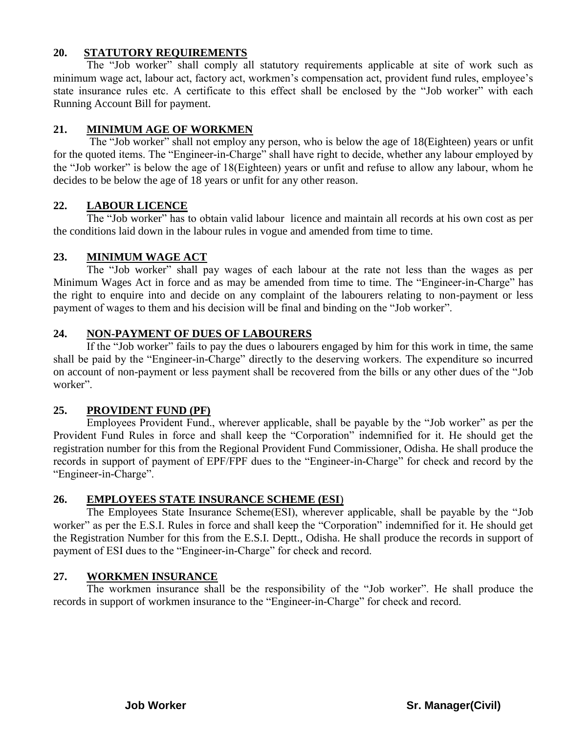#### **20. STATUTORY REQUIREMENTS**

The "Job worker" shall comply all statutory requirements applicable at site of work such as minimum wage act, labour act, factory act, workmen's compensation act, provident fund rules, employee's state insurance rules etc. A certificate to this effect shall be enclosed by the "Job worker" with each Running Account Bill for payment.

#### **21. MINIMUM AGE OF WORKMEN**

The "Job worker" shall not employ any person, who is below the age of 18(Eighteen) years or unfit for the quoted items. The "Engineer-in-Charge" shall have right to decide, whether any labour employed by the "Job worker" is below the age of 18(Eighteen) years or unfit and refuse to allow any labour, whom he decides to be below the age of 18 years or unfit for any other reason.

#### **22. LABOUR LICENCE**

The "Job worker" has to obtain valid labour licence and maintain all records at his own cost as per the conditions laid down in the labour rules in vogue and amended from time to time.

#### **23. MINIMUM WAGE ACT**

The "Job worker" shall pay wages of each labour at the rate not less than the wages as per Minimum Wages Act in force and as may be amended from time to time. The "Engineer-in-Charge" has the right to enquire into and decide on any complaint of the labourers relating to non-payment or less payment of wages to them and his decision will be final and binding on the "Job worker".

#### **24. NON-PAYMENT OF DUES OF LABOURERS**

If the "Job worker" fails to pay the dues o labourers engaged by him for this work in time, the same shall be paid by the "Engineer-in-Charge" directly to the deserving workers. The expenditure so incurred on account of non-payment or less payment shall be recovered from the bills or any other dues of the "Job worker".

#### **25. PROVIDENT FUND (PF)**

Employees Provident Fund., wherever applicable, shall be payable by the "Job worker" as per the Provident Fund Rules in force and shall keep the "Corporation" indemnified for it. He should get the registration number for this from the Regional Provident Fund Commissioner, Odisha. He shall produce the records in support of payment of EPF/FPF dues to the "Engineer-in-Charge" for check and record by the "Engineer-in-Charge".

#### **26. EMPLOYEES STATE INSURANCE SCHEME (ESI**)

The Employees State Insurance Scheme(ESI), wherever applicable, shall be payable by the "Job worker" as per the E.S.I. Rules in force and shall keep the "Corporation" indemnified for it. He should get the Registration Number for this from the E.S.I. Deptt., Odisha. He shall produce the records in support of payment of ESI dues to the "Engineer-in-Charge" for check and record.

#### **27. WORKMEN INSURANCE**

The workmen insurance shall be the responsibility of the "Job worker". He shall produce the records in support of workmen insurance to the "Engineer-in-Charge" for check and record.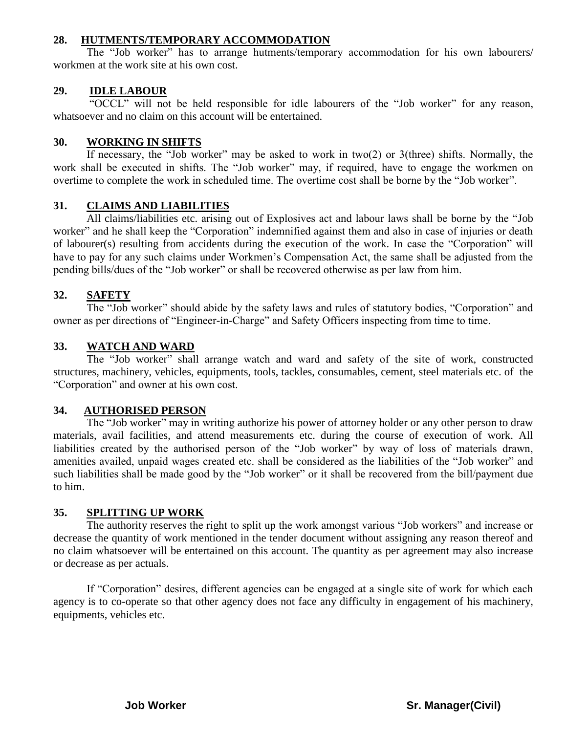#### **28. HUTMENTS/TEMPORARY ACCOMMODATION**

The "Job worker" has to arrange hutments/temporary accommodation for his own labourers/ workmen at the work site at his own cost.

#### **29. IDLE LABOUR**

"OCCL" will not be held responsible for idle labourers of the "Job worker" for any reason, whatsoever and no claim on this account will be entertained.

#### **30. WORKING IN SHIFTS**

If necessary, the "Job worker" may be asked to work in two(2) or 3(three) shifts. Normally, the work shall be executed in shifts. The "Job worker" may, if required, have to engage the workmen on overtime to complete the work in scheduled time. The overtime cost shall be borne by the "Job worker".

#### **31. CLAIMS AND LIABILITIES**

All claims/liabilities etc. arising out of Explosives act and labour laws shall be borne by the "Job worker" and he shall keep the "Corporation" indemnified against them and also in case of injuries or death of labourer(s) resulting from accidents during the execution of the work. In case the "Corporation" will have to pay for any such claims under Workmen's Compensation Act, the same shall be adjusted from the pending bills/dues of the "Job worker" or shall be recovered otherwise as per law from him.

#### **32. SAFETY**

The "Job worker" should abide by the safety laws and rules of statutory bodies, "Corporation" and owner as per directions of "Engineer-in-Charge" and Safety Officers inspecting from time to time.

#### **33. WATCH AND WARD**

The "Job worker" shall arrange watch and ward and safety of the site of work, constructed structures, machinery, vehicles, equipments, tools, tackles, consumables, cement, steel materials etc. of the "Corporation" and owner at his own cost.

#### **34. AUTHORISED PERSON**

The "Job worker" may in writing authorize his power of attorney holder or any other person to draw materials, avail facilities, and attend measurements etc. during the course of execution of work. All liabilities created by the authorised person of the "Job worker" by way of loss of materials drawn, amenities availed, unpaid wages created etc. shall be considered as the liabilities of the "Job worker" and such liabilities shall be made good by the "Job worker" or it shall be recovered from the bill/payment due to him.

#### **35. SPLITTING UP WORK**

The authority reserves the right to split up the work amongst various "Job workers" and increase or decrease the quantity of work mentioned in the tender document without assigning any reason thereof and no claim whatsoever will be entertained on this account. The quantity as per agreement may also increase or decrease as per actuals.

If "Corporation" desires, different agencies can be engaged at a single site of work for which each agency is to co-operate so that other agency does not face any difficulty in engagement of his machinery, equipments, vehicles etc.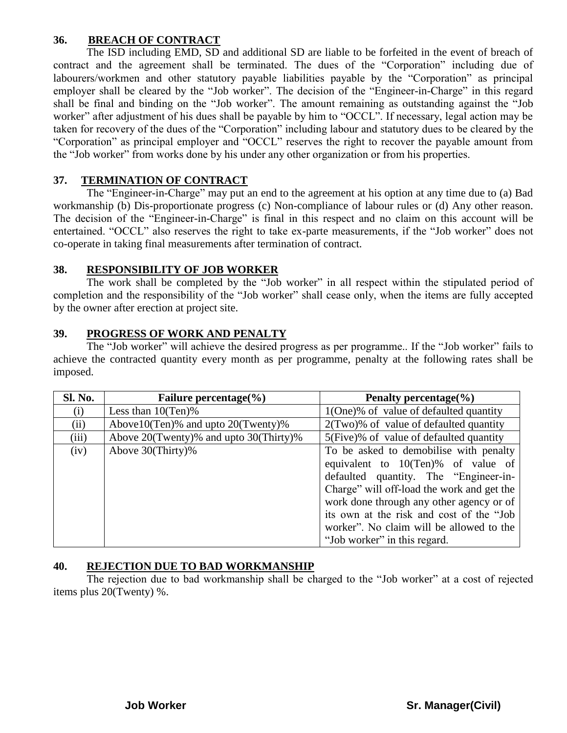#### **36. BREACH OF CONTRACT**

The ISD including EMD, SD and additional SD are liable to be forfeited in the event of breach of contract and the agreement shall be terminated. The dues of the "Corporation" including due of labourers/workmen and other statutory payable liabilities payable by the "Corporation" as principal employer shall be cleared by the "Job worker". The decision of the "Engineer-in-Charge" in this regard shall be final and binding on the "Job worker". The amount remaining as outstanding against the "Job worker" after adjustment of his dues shall be payable by him to "OCCL". If necessary, legal action may be taken for recovery of the dues of the "Corporation" including labour and statutory dues to be cleared by the "Corporation" as principal employer and "OCCL" reserves the right to recover the payable amount from the "Job worker" from works done by his under any other organization or from his properties.

#### **37. TERMINATION OF CONTRACT**

The "Engineer-in-Charge" may put an end to the agreement at his option at any time due to (a) Bad workmanship (b) Dis-proportionate progress (c) Non-compliance of labour rules or (d) Any other reason. The decision of the "Engineer-in-Charge" is final in this respect and no claim on this account will be entertained. "OCCL" also reserves the right to take ex-parte measurements, if the "Job worker" does not co-operate in taking final measurements after termination of contract.

#### **38. RESPONSIBILITY OF JOB WORKER**

The work shall be completed by the "Job worker" in all respect within the stipulated period of completion and the responsibility of the "Job worker" shall cease only, when the items are fully accepted by the owner after erection at project site.

#### **39. PROGRESS OF WORK AND PENALTY**

The "Job worker" will achieve the desired progress as per programme.. If the "Job worker" fails to achieve the contracted quantity every month as per programme, penalty at the following rates shall be imposed.

| <b>Sl. No.</b> | Failure percentage( $\%$ )                | Penalty percentage $\%$ )                                                                                                                                                                                                                                                                                                               |  |  |
|----------------|-------------------------------------------|-----------------------------------------------------------------------------------------------------------------------------------------------------------------------------------------------------------------------------------------------------------------------------------------------------------------------------------------|--|--|
| (i)            | Less than $10(Ten)\%$                     | 1(One)% of value of defaulted quantity                                                                                                                                                                                                                                                                                                  |  |  |
| (ii)           | Above $10$ (Ten)% and upto $20$ (Twenty)% | $2$ (Two)% of value of defaulted quantity                                                                                                                                                                                                                                                                                               |  |  |
| (iii)          | Above 20(Twenty)% and upto 30(Thirty)%    | 5(Five)% of value of defaulted quantity                                                                                                                                                                                                                                                                                                 |  |  |
| (iv)           | Above 30(Thirty)%                         | To be asked to demobilise with penalty<br>equivalent to 10(Ten)% of value of<br>defaulted quantity. The "Engineer-in-<br>Charge" will off-load the work and get the<br>work done through any other agency or of<br>its own at the risk and cost of the "Job<br>worker". No claim will be allowed to the<br>"Job worker" in this regard. |  |  |

#### **40. REJECTION DUE TO BAD WORKMANSHIP**

The rejection due to bad workmanship shall be charged to the "Job worker" at a cost of rejected items plus 20(Twenty) %.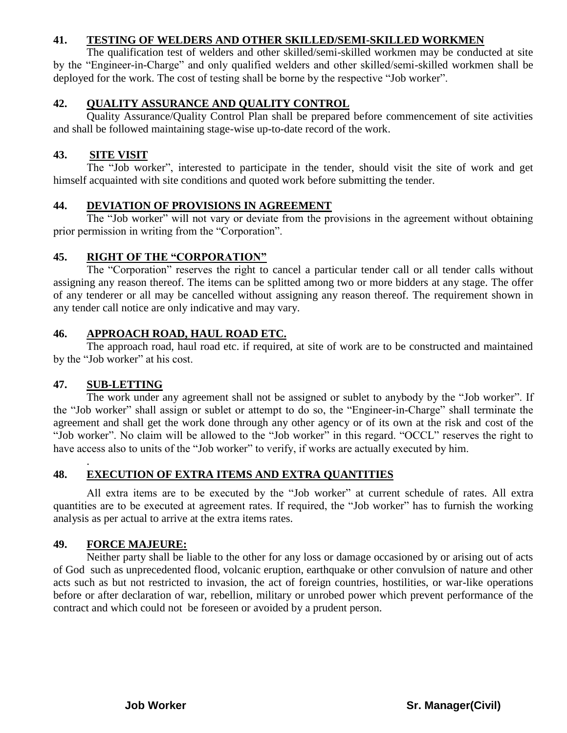#### **41. TESTING OF WELDERS AND OTHER SKILLED/SEMI-SKILLED WORKMEN**

The qualification test of welders and other skilled/semi-skilled workmen may be conducted at site by the "Engineer-in-Charge" and only qualified welders and other skilled/semi-skilled workmen shall be deployed for the work. The cost of testing shall be borne by the respective "Job worker".

#### **42. QUALITY ASSURANCE AND QUALITY CONTROL**

Quality Assurance/Quality Control Plan shall be prepared before commencement of site activities and shall be followed maintaining stage-wise up-to-date record of the work.

#### **43. SITE VISIT**

The "Job worker", interested to participate in the tender, should visit the site of work and get himself acquainted with site conditions and quoted work before submitting the tender.

#### **44. DEVIATION OF PROVISIONS IN AGREEMENT**

The "Job worker" will not vary or deviate from the provisions in the agreement without obtaining prior permission in writing from the "Corporation".

#### **45. RIGHT OF THE "CORPORATION"**

The "Corporation" reserves the right to cancel a particular tender call or all tender calls without assigning any reason thereof. The items can be splitted among two or more bidders at any stage. The offer of any tenderer or all may be cancelled without assigning any reason thereof. The requirement shown in any tender call notice are only indicative and may vary.

#### **46. APPROACH ROAD, HAUL ROAD ETC.**

The approach road, haul road etc. if required, at site of work are to be constructed and maintained by the "Job worker" at his cost.

#### **47. SUB-LETTING**

.

The work under any agreement shall not be assigned or sublet to anybody by the "Job worker". If the "Job worker" shall assign or sublet or attempt to do so, the "Engineer-in-Charge" shall terminate the agreement and shall get the work done through any other agency or of its own at the risk and cost of the "Job worker". No claim will be allowed to the "Job worker" in this regard. "OCCL" reserves the right to have access also to units of the "Job worker" to verify, if works are actually executed by him.

#### **48. EXECUTION OF EXTRA ITEMS AND EXTRA QUANTITIES**

All extra items are to be executed by the "Job worker" at current schedule of rates. All extra quantities are to be executed at agreement rates. If required, the "Job worker" has to furnish the working analysis as per actual to arrive at the extra items rates.

#### **49. FORCE MAJEURE:**

Neither party shall be liable to the other for any loss or damage occasioned by or arising out of acts of God such as unprecedented flood, volcanic eruption, earthquake or other convulsion of nature and other acts such as but not restricted to invasion, the act of foreign countries, hostilities, or war-like operations before or after declaration of war, rebellion, military or unrobed power which prevent performance of the contract and which could not be foreseen or avoided by a prudent person.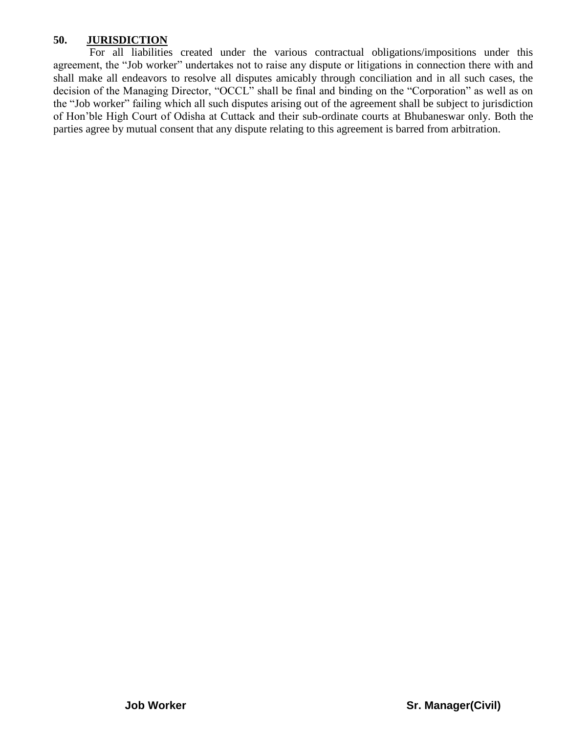#### **50. JURISDICTION**

For all liabilities created under the various contractual obligations/impositions under this agreement, the "Job worker" undertakes not to raise any dispute or litigations in connection there with and shall make all endeavors to resolve all disputes amicably through conciliation and in all such cases, the decision of the Managing Director, "OCCL" shall be final and binding on the "Corporation" as well as on the "Job worker" failing which all such disputes arising out of the agreement shall be subject to jurisdiction of Hon"ble High Court of Odisha at Cuttack and their sub-ordinate courts at Bhubaneswar only. Both the parties agree by mutual consent that any dispute relating to this agreement is barred from arbitration.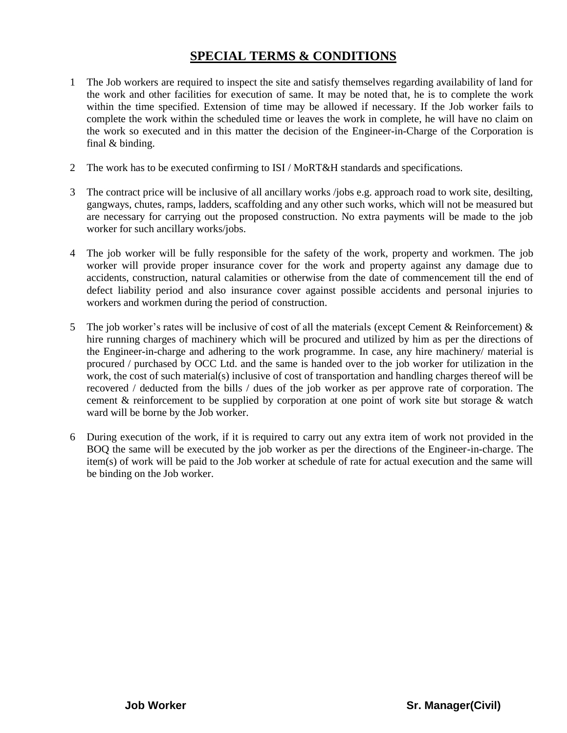## **SPECIAL TERMS & CONDITIONS**

- 1 The Job workers are required to inspect the site and satisfy themselves regarding availability of land for the work and other facilities for execution of same. It may be noted that, he is to complete the work within the time specified. Extension of time may be allowed if necessary. If the Job worker fails to complete the work within the scheduled time or leaves the work in complete, he will have no claim on the work so executed and in this matter the decision of the Engineer-in-Charge of the Corporation is final & binding.
- 2 The work has to be executed confirming to ISI / MoRT&H standards and specifications.
- 3 The contract price will be inclusive of all ancillary works /jobs e.g. approach road to work site, desilting, gangways, chutes, ramps, ladders, scaffolding and any other such works, which will not be measured but are necessary for carrying out the proposed construction. No extra payments will be made to the job worker for such ancillary works/jobs.
- 4 The job worker will be fully responsible for the safety of the work, property and workmen. The job worker will provide proper insurance cover for the work and property against any damage due to accidents, construction, natural calamities or otherwise from the date of commencement till the end of defect liability period and also insurance cover against possible accidents and personal injuries to workers and workmen during the period of construction.
- 5 The job worker's rates will be inclusive of cost of all the materials (except Cement & Reinforcement)  $\&$ hire running charges of machinery which will be procured and utilized by him as per the directions of the Engineer-in-charge and adhering to the work programme. In case, any hire machinery/ material is procured / purchased by OCC Ltd. and the same is handed over to the job worker for utilization in the work, the cost of such material(s) inclusive of cost of transportation and handling charges thereof will be recovered / deducted from the bills / dues of the job worker as per approve rate of corporation. The cement & reinforcement to be supplied by corporation at one point of work site but storage & watch ward will be borne by the Job worker.
- 6 During execution of the work, if it is required to carry out any extra item of work not provided in the BOQ the same will be executed by the job worker as per the directions of the Engineer-in-charge. The item(s) of work will be paid to the Job worker at schedule of rate for actual execution and the same will be binding on the Job worker.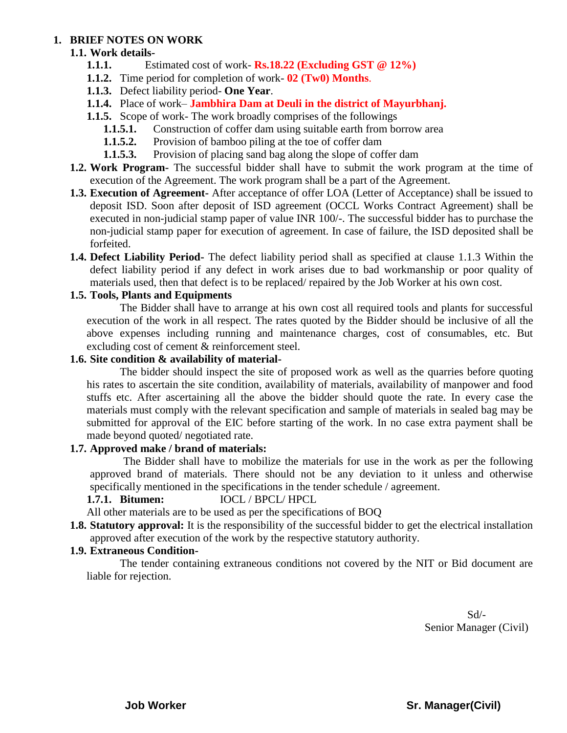#### **1. BRIEF NOTES ON WORK**

#### **1.1. Work details-**

- **1.1.1.** Estimated cost of work- **Rs.18.22 (Excluding GST @ 12%)**
- **1.1.2.** Time period for completion of work- **02 (Tw0) Months**.
- **1.1.3.** Defect liability period- **One Year**.
- **1.1.4.** Place of work– **Jambhira Dam at Deuli in the district of Mayurbhanj.**
- **1.1.5.** Scope of work- The work broadly comprises of the followings
	- **1.1.5.1.** Construction of coffer dam using suitable earth from borrow area
	- **1.1.5.2.** Provision of bamboo piling at the toe of coffer dam
	- **1.1.5.3.** Provision of placing sand bag along the slope of coffer dam
- **1.2. Work Program-** The successful bidder shall have to submit the work program at the time of execution of the Agreement. The work program shall be a part of the Agreement.
- **1.3. Execution of Agreement-** After acceptance of offer LOA (Letter of Acceptance) shall be issued to deposit ISD. Soon after deposit of ISD agreement (OCCL Works Contract Agreement) shall be executed in non-judicial stamp paper of value INR 100/-. The successful bidder has to purchase the non-judicial stamp paper for execution of agreement. In case of failure, the ISD deposited shall be forfeited.
- **1.4. Defect Liability Period-** The defect liability period shall as specified at clause 1.1.3 Within the defect liability period if any defect in work arises due to bad workmanship or poor quality of materials used, then that defect is to be replaced/ repaired by the Job Worker at his own cost.

#### **1.5. Tools, Plants and Equipments**

The Bidder shall have to arrange at his own cost all required tools and plants for successful execution of the work in all respect. The rates quoted by the Bidder should be inclusive of all the above expenses including running and maintenance charges, cost of consumables, etc. But excluding cost of cement & reinforcement steel.

#### **1.6. Site condition & availability of material-**

The bidder should inspect the site of proposed work as well as the quarries before quoting his rates to ascertain the site condition, availability of materials, availability of manpower and food stuffs etc. After ascertaining all the above the bidder should quote the rate. In every case the materials must comply with the relevant specification and sample of materials in sealed bag may be submitted for approval of the EIC before starting of the work. In no case extra payment shall be made beyond quoted/ negotiated rate.

#### **1.7. Approved make / brand of materials:**

The Bidder shall have to mobilize the materials for use in the work as per the following approved brand of materials. There should not be any deviation to it unless and otherwise specifically mentioned in the specifications in the tender schedule / agreement.

#### **1.7.1. Bitumen:** IOCL / BPCL/ HPCL

All other materials are to be used as per the specifications of BOQ

**1.8. Statutory approval:** It is the responsibility of the successful bidder to get the electrical installation approved after execution of the work by the respective statutory authority.

#### **1.9. Extraneous Condition-**

The tender containing extraneous conditions not covered by the NIT or Bid document are liable for rejection.

> Sd/- Senior Manager (Civil)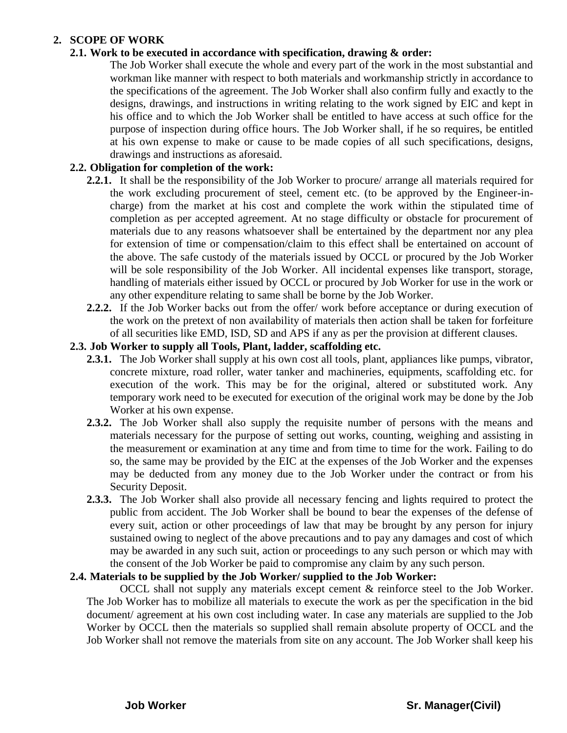#### **2. SCOPE OF WORK**

#### **2.1. Work to be executed in accordance with specification, drawing & order:**

The Job Worker shall execute the whole and every part of the work in the most substantial and workman like manner with respect to both materials and workmanship strictly in accordance to the specifications of the agreement. The Job Worker shall also confirm fully and exactly to the designs, drawings, and instructions in writing relating to the work signed by EIC and kept in his office and to which the Job Worker shall be entitled to have access at such office for the purpose of inspection during office hours. The Job Worker shall, if he so requires, be entitled at his own expense to make or cause to be made copies of all such specifications, designs, drawings and instructions as aforesaid.

#### **2.2. Obligation for completion of the work:**

- **2.2.1.** It shall be the responsibility of the Job Worker to procure/ arrange all materials required for the work excluding procurement of steel, cement etc. (to be approved by the Engineer-incharge) from the market at his cost and complete the work within the stipulated time of completion as per accepted agreement. At no stage difficulty or obstacle for procurement of materials due to any reasons whatsoever shall be entertained by the department nor any plea for extension of time or compensation/claim to this effect shall be entertained on account of the above. The safe custody of the materials issued by OCCL or procured by the Job Worker will be sole responsibility of the Job Worker. All incidental expenses like transport, storage, handling of materials either issued by OCCL or procured by Job Worker for use in the work or any other expenditure relating to same shall be borne by the Job Worker.
- **2.2.2.** If the Job Worker backs out from the offer/ work before acceptance or during execution of the work on the pretext of non availability of materials then action shall be taken for forfeiture of all securities like EMD, ISD, SD and APS if any as per the provision at different clauses.

#### **2.3. Job Worker to supply all Tools, Plant, ladder, scaffolding etc.**

- **2.3.1.** The Job Worker shall supply at his own cost all tools, plant, appliances like pumps, vibrator, concrete mixture, road roller, water tanker and machineries, equipments, scaffolding etc. for execution of the work. This may be for the original, altered or substituted work. Any temporary work need to be executed for execution of the original work may be done by the Job Worker at his own expense.
- **2.3.2.** The Job Worker shall also supply the requisite number of persons with the means and materials necessary for the purpose of setting out works, counting, weighing and assisting in the measurement or examination at any time and from time to time for the work. Failing to do so, the same may be provided by the EIC at the expenses of the Job Worker and the expenses may be deducted from any money due to the Job Worker under the contract or from his Security Deposit.
- **2.3.3.** The Job Worker shall also provide all necessary fencing and lights required to protect the public from accident. The Job Worker shall be bound to bear the expenses of the defense of every suit, action or other proceedings of law that may be brought by any person for injury sustained owing to neglect of the above precautions and to pay any damages and cost of which may be awarded in any such suit, action or proceedings to any such person or which may with the consent of the Job Worker be paid to compromise any claim by any such person.

#### **2.4. Materials to be supplied by the Job Worker/ supplied to the Job Worker:**

OCCL shall not supply any materials except cement & reinforce steel to the Job Worker. The Job Worker has to mobilize all materials to execute the work as per the specification in the bid document/ agreement at his own cost including water. In case any materials are supplied to the Job Worker by OCCL then the materials so supplied shall remain absolute property of OCCL and the Job Worker shall not remove the materials from site on any account. The Job Worker shall keep his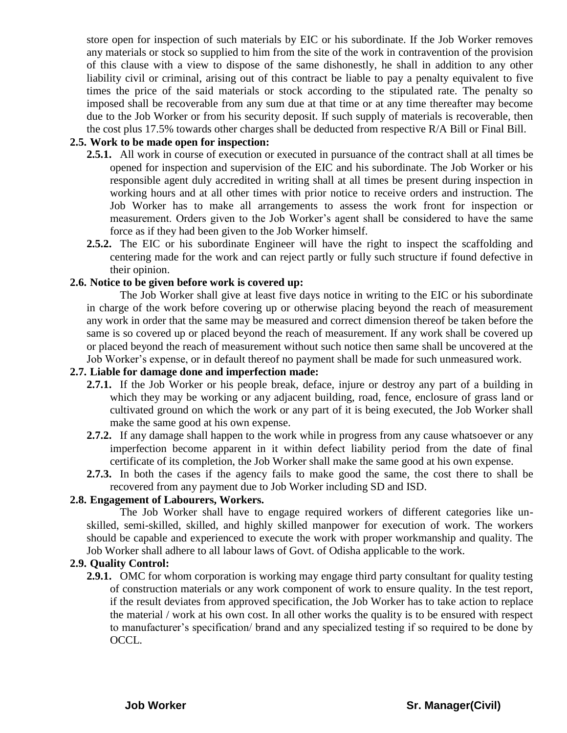store open for inspection of such materials by EIC or his subordinate. If the Job Worker removes any materials or stock so supplied to him from the site of the work in contravention of the provision of this clause with a view to dispose of the same dishonestly, he shall in addition to any other liability civil or criminal, arising out of this contract be liable to pay a penalty equivalent to five times the price of the said materials or stock according to the stipulated rate. The penalty so imposed shall be recoverable from any sum due at that time or at any time thereafter may become due to the Job Worker or from his security deposit. If such supply of materials is recoverable, then the cost plus 17.5% towards other charges shall be deducted from respective R/A Bill or Final Bill.

#### **2.5. Work to be made open for inspection:**

- **2.5.1.** All work in course of execution or executed in pursuance of the contract shall at all times be opened for inspection and supervision of the EIC and his subordinate. The Job Worker or his responsible agent duly accredited in writing shall at all times be present during inspection in working hours and at all other times with prior notice to receive orders and instruction. The Job Worker has to make all arrangements to assess the work front for inspection or measurement. Orders given to the Job Worker"s agent shall be considered to have the same force as if they had been given to the Job Worker himself.
- **2.5.2.** The EIC or his subordinate Engineer will have the right to inspect the scaffolding and centering made for the work and can reject partly or fully such structure if found defective in their opinion.

#### **2.6. Notice to be given before work is covered up:**

The Job Worker shall give at least five days notice in writing to the EIC or his subordinate in charge of the work before covering up or otherwise placing beyond the reach of measurement any work in order that the same may be measured and correct dimension thereof be taken before the same is so covered up or placed beyond the reach of measurement. If any work shall be covered up or placed beyond the reach of measurement without such notice then same shall be uncovered at the Job Worker"s expense, or in default thereof no payment shall be made for such unmeasured work.

#### **2.7. Liable for damage done and imperfection made:**

- **2.7.1.** If the Job Worker or his people break, deface, injure or destroy any part of a building in which they may be working or any adjacent building, road, fence, enclosure of grass land or cultivated ground on which the work or any part of it is being executed, the Job Worker shall make the same good at his own expense.
- **2.7.2.** If any damage shall happen to the work while in progress from any cause whatsoever or any imperfection become apparent in it within defect liability period from the date of final certificate of its completion, the Job Worker shall make the same good at his own expense.
- **2.7.3.** In both the cases if the agency fails to make good the same, the cost there to shall be recovered from any payment due to Job Worker including SD and ISD.

#### **2.8. Engagement of Labourers, Workers.**

The Job Worker shall have to engage required workers of different categories like unskilled, semi-skilled, skilled, and highly skilled manpower for execution of work. The workers should be capable and experienced to execute the work with proper workmanship and quality. The Job Worker shall adhere to all labour laws of Govt. of Odisha applicable to the work.

#### **2.9. Quality Control:**

**2.9.1.** OMC for whom corporation is working may engage third party consultant for quality testing of construction materials or any work component of work to ensure quality. In the test report, if the result deviates from approved specification, the Job Worker has to take action to replace the material / work at his own cost. In all other works the quality is to be ensured with respect to manufacturer"s specification/ brand and any specialized testing if so required to be done by OCCL.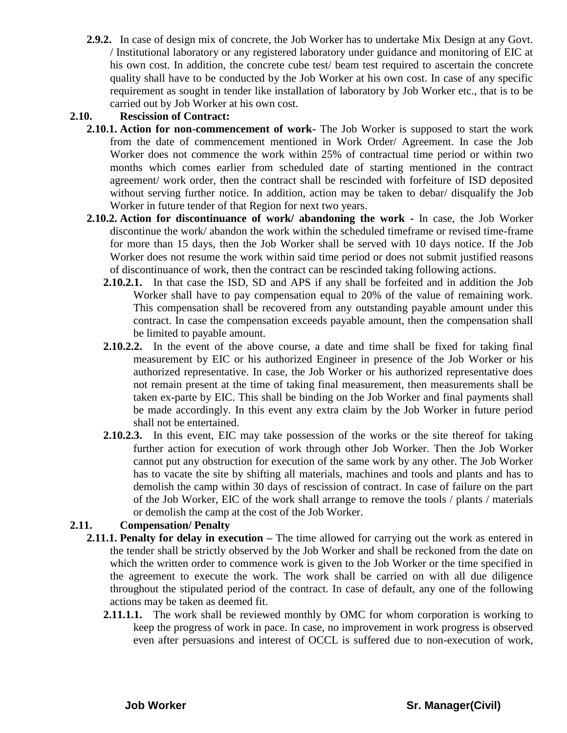**2.9.2.** In case of design mix of concrete, the Job Worker has to undertake Mix Design at any Govt. / Institutional laboratory or any registered laboratory under guidance and monitoring of EIC at his own cost. In addition, the concrete cube test/ beam test required to ascertain the concrete quality shall have to be conducted by the Job Worker at his own cost. In case of any specific requirement as sought in tender like installation of laboratory by Job Worker etc., that is to be carried out by Job Worker at his own cost.

#### **2.10. Rescission of Contract:**

- **2.10.1. Action for non-commencement of work-** The Job Worker is supposed to start the work from the date of commencement mentioned in Work Order/ Agreement. In case the Job Worker does not commence the work within 25% of contractual time period or within two months which comes earlier from scheduled date of starting mentioned in the contract agreement/ work order, then the contract shall be rescinded with forfeiture of ISD deposited without serving further notice. In addition, action may be taken to debar/ disqualify the Job Worker in future tender of that Region for next two years.
- **2.10.2. Action for discontinuance of work/ abandoning the work -** In case, the Job Worker discontinue the work/ abandon the work within the scheduled timeframe or revised time-frame for more than 15 days, then the Job Worker shall be served with 10 days notice. If the Job Worker does not resume the work within said time period or does not submit justified reasons of discontinuance of work, then the contract can be rescinded taking following actions.
	- **2.10.2.1.** In that case the ISD, SD and APS if any shall be forfeited and in addition the Job Worker shall have to pay compensation equal to 20% of the value of remaining work. This compensation shall be recovered from any outstanding payable amount under this contract. In case the compensation exceeds payable amount, then the compensation shall be limited to payable amount.
	- **2.10.2.2.** In the event of the above course, a date and time shall be fixed for taking final measurement by EIC or his authorized Engineer in presence of the Job Worker or his authorized representative. In case, the Job Worker or his authorized representative does not remain present at the time of taking final measurement, then measurements shall be taken ex-parte by EIC. This shall be binding on the Job Worker and final payments shall be made accordingly. In this event any extra claim by the Job Worker in future period shall not be entertained.
	- **2.10.2.3.** In this event, EIC may take possession of the works or the site thereof for taking further action for execution of work through other Job Worker. Then the Job Worker cannot put any obstruction for execution of the same work by any other. The Job Worker has to vacate the site by shifting all materials, machines and tools and plants and has to demolish the camp within 30 days of rescission of contract. In case of failure on the part of the Job Worker, EIC of the work shall arrange to remove the tools / plants / materials or demolish the camp at the cost of the Job Worker.

#### **2.11. Compensation/ Penalty**

- **2.11.1. Penalty for delay in execution –** The time allowed for carrying out the work as entered in the tender shall be strictly observed by the Job Worker and shall be reckoned from the date on which the written order to commence work is given to the Job Worker or the time specified in the agreement to execute the work. The work shall be carried on with all due diligence throughout the stipulated period of the contract. In case of default, any one of the following actions may be taken as deemed fit.
	- **2.11.1.1.** The work shall be reviewed monthly by OMC for whom corporation is working to keep the progress of work in pace. In case, no improvement in work progress is observed even after persuasions and interest of OCCL is suffered due to non-execution of work,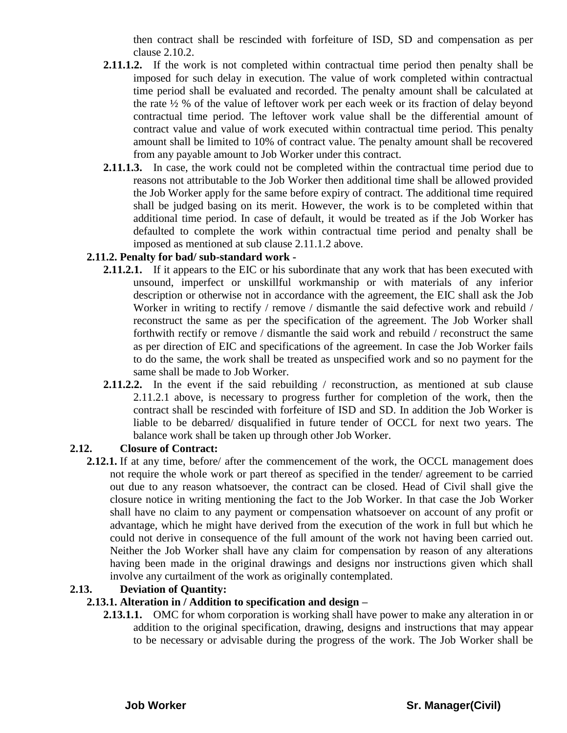then contract shall be rescinded with forfeiture of ISD, SD and compensation as per clause 2.10.2.

- **2.11.1.2.** If the work is not completed within contractual time period then penalty shall be imposed for such delay in execution. The value of work completed within contractual time period shall be evaluated and recorded. The penalty amount shall be calculated at the rate ½ % of the value of leftover work per each week or its fraction of delay beyond contractual time period. The leftover work value shall be the differential amount of contract value and value of work executed within contractual time period. This penalty amount shall be limited to 10% of contract value. The penalty amount shall be recovered from any payable amount to Job Worker under this contract.
- **2.11.1.3.** In case, the work could not be completed within the contractual time period due to reasons not attributable to the Job Worker then additional time shall be allowed provided the Job Worker apply for the same before expiry of contract. The additional time required shall be judged basing on its merit. However, the work is to be completed within that additional time period. In case of default, it would be treated as if the Job Worker has defaulted to complete the work within contractual time period and penalty shall be imposed as mentioned at sub clause 2.11.1.2 above.

#### **2.11.2. Penalty for bad/ sub-standard work -**

- **2.11.2.1.** If it appears to the EIC or his subordinate that any work that has been executed with unsound, imperfect or unskillful workmanship or with materials of any inferior description or otherwise not in accordance with the agreement, the EIC shall ask the Job Worker in writing to rectify / remove / dismantle the said defective work and rebuild / reconstruct the same as per the specification of the agreement. The Job Worker shall forthwith rectify or remove / dismantle the said work and rebuild / reconstruct the same as per direction of EIC and specifications of the agreement. In case the Job Worker fails to do the same, the work shall be treated as unspecified work and so no payment for the same shall be made to Job Worker.
- **2.11.2.2.** In the event if the said rebuilding / reconstruction, as mentioned at sub clause 2.11.2.1 above, is necessary to progress further for completion of the work, then the contract shall be rescinded with forfeiture of ISD and SD. In addition the Job Worker is liable to be debarred/ disqualified in future tender of OCCL for next two years. The balance work shall be taken up through other Job Worker.

#### **2.12. Closure of Contract:**

**2.12.1.** If at any time, before/ after the commencement of the work, the OCCL management does not require the whole work or part thereof as specified in the tender/ agreement to be carried out due to any reason whatsoever, the contract can be closed. Head of Civil shall give the closure notice in writing mentioning the fact to the Job Worker. In that case the Job Worker shall have no claim to any payment or compensation whatsoever on account of any profit or advantage, which he might have derived from the execution of the work in full but which he could not derive in consequence of the full amount of the work not having been carried out. Neither the Job Worker shall have any claim for compensation by reason of any alterations having been made in the original drawings and designs nor instructions given which shall involve any curtailment of the work as originally contemplated.

#### **2.13. Deviation of Quantity:**

#### **2.13.1. Alteration in / Addition to specification and design –**

**2.13.1.1.** OMC for whom corporation is working shall have power to make any alteration in or addition to the original specification, drawing, designs and instructions that may appear to be necessary or advisable during the progress of the work. The Job Worker shall be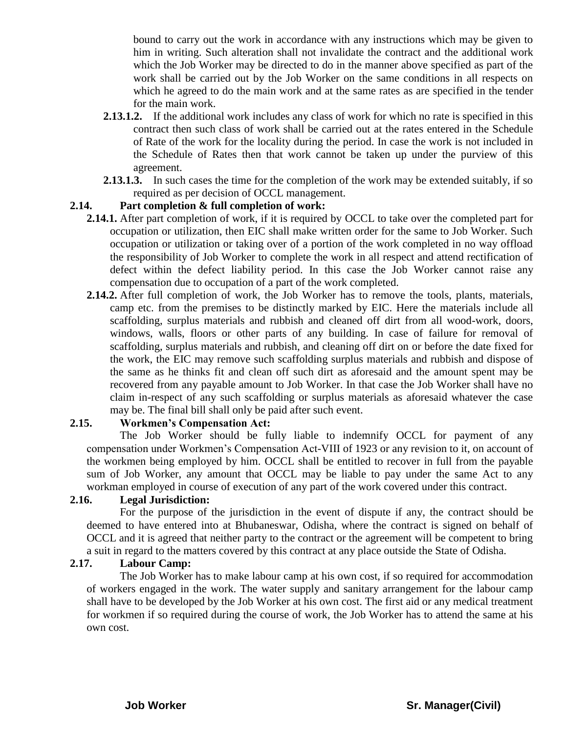bound to carry out the work in accordance with any instructions which may be given to him in writing. Such alteration shall not invalidate the contract and the additional work which the Job Worker may be directed to do in the manner above specified as part of the work shall be carried out by the Job Worker on the same conditions in all respects on which he agreed to do the main work and at the same rates as are specified in the tender for the main work.

- **2.13.1.2.** If the additional work includes any class of work for which no rate is specified in this contract then such class of work shall be carried out at the rates entered in the Schedule of Rate of the work for the locality during the period. In case the work is not included in the Schedule of Rates then that work cannot be taken up under the purview of this agreement.
- **2.13.1.3.** In such cases the time for the completion of the work may be extended suitably, if so required as per decision of OCCL management.

#### **2.14. Part completion & full completion of work:**

- **2.14.1.** After part completion of work, if it is required by OCCL to take over the completed part for occupation or utilization, then EIC shall make written order for the same to Job Worker. Such occupation or utilization or taking over of a portion of the work completed in no way offload the responsibility of Job Worker to complete the work in all respect and attend rectification of defect within the defect liability period. In this case the Job Worker cannot raise any compensation due to occupation of a part of the work completed.
- **2.14.2.** After full completion of work, the Job Worker has to remove the tools, plants, materials, camp etc. from the premises to be distinctly marked by EIC. Here the materials include all scaffolding, surplus materials and rubbish and cleaned off dirt from all wood-work, doors, windows, walls, floors or other parts of any building. In case of failure for removal of scaffolding, surplus materials and rubbish, and cleaning off dirt on or before the date fixed for the work, the EIC may remove such scaffolding surplus materials and rubbish and dispose of the same as he thinks fit and clean off such dirt as aforesaid and the amount spent may be recovered from any payable amount to Job Worker. In that case the Job Worker shall have no claim in-respect of any such scaffolding or surplus materials as aforesaid whatever the case may be. The final bill shall only be paid after such event.

#### **2.15. Workmen's Compensation Act:**

The Job Worker should be fully liable to indemnify OCCL for payment of any compensation under Workmen"s Compensation Act-VIII of 1923 or any revision to it, on account of the workmen being employed by him. OCCL shall be entitled to recover in full from the payable sum of Job Worker, any amount that OCCL may be liable to pay under the same Act to any workman employed in course of execution of any part of the work covered under this contract.

#### **2.16. Legal Jurisdiction:**

For the purpose of the jurisdiction in the event of dispute if any, the contract should be deemed to have entered into at Bhubaneswar, Odisha, where the contract is signed on behalf of OCCL and it is agreed that neither party to the contract or the agreement will be competent to bring a suit in regard to the matters covered by this contract at any place outside the State of Odisha.

#### **2.17. Labour Camp:**

The Job Worker has to make labour camp at his own cost, if so required for accommodation of workers engaged in the work. The water supply and sanitary arrangement for the labour camp shall have to be developed by the Job Worker at his own cost. The first aid or any medical treatment for workmen if so required during the course of work, the Job Worker has to attend the same at his own cost.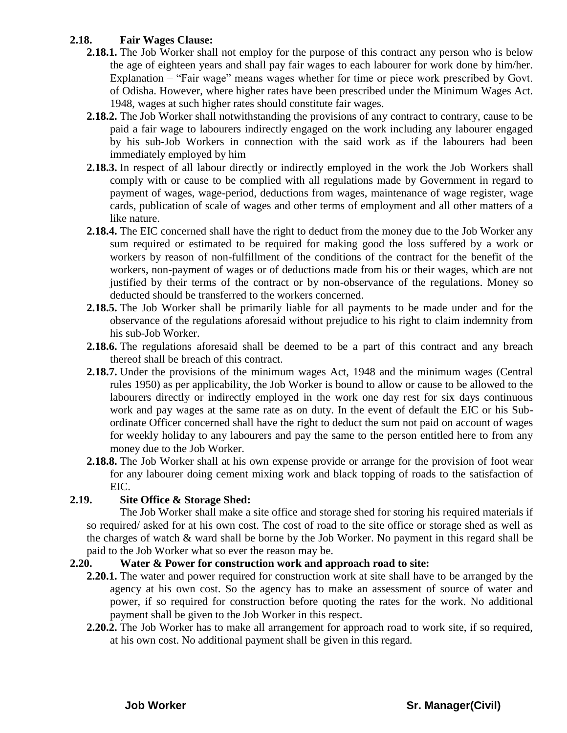#### **2.18. Fair Wages Clause:**

- **2.18.1.** The Job Worker shall not employ for the purpose of this contract any person who is below the age of eighteen years and shall pay fair wages to each labourer for work done by him/her. Explanation – "Fair wage" means wages whether for time or piece work prescribed by Govt. of Odisha. However, where higher rates have been prescribed under the Minimum Wages Act. 1948, wages at such higher rates should constitute fair wages.
- **2.18.2.** The Job Worker shall notwithstanding the provisions of any contract to contrary, cause to be paid a fair wage to labourers indirectly engaged on the work including any labourer engaged by his sub-Job Workers in connection with the said work as if the labourers had been immediately employed by him
- **2.18.3.** In respect of all labour directly or indirectly employed in the work the Job Workers shall comply with or cause to be complied with all regulations made by Government in regard to payment of wages, wage-period, deductions from wages, maintenance of wage register, wage cards, publication of scale of wages and other terms of employment and all other matters of a like nature.
- **2.18.4.** The EIC concerned shall have the right to deduct from the money due to the Job Worker any sum required or estimated to be required for making good the loss suffered by a work or workers by reason of non-fulfillment of the conditions of the contract for the benefit of the workers, non-payment of wages or of deductions made from his or their wages, which are not justified by their terms of the contract or by non-observance of the regulations. Money so deducted should be transferred to the workers concerned.
- **2.18.5.** The Job Worker shall be primarily liable for all payments to be made under and for the observance of the regulations aforesaid without prejudice to his right to claim indemnity from his sub-Job Worker.
- **2.18.6.** The regulations aforesaid shall be deemed to be a part of this contract and any breach thereof shall be breach of this contract.
- **2.18.7.** Under the provisions of the minimum wages Act, 1948 and the minimum wages (Central rules 1950) as per applicability, the Job Worker is bound to allow or cause to be allowed to the labourers directly or indirectly employed in the work one day rest for six days continuous work and pay wages at the same rate as on duty. In the event of default the EIC or his Subordinate Officer concerned shall have the right to deduct the sum not paid on account of wages for weekly holiday to any labourers and pay the same to the person entitled here to from any money due to the Job Worker.
- **2.18.8.** The Job Worker shall at his own expense provide or arrange for the provision of foot wear for any labourer doing cement mixing work and black topping of roads to the satisfaction of EIC.

#### **2.19. Site Office & Storage Shed:**

The Job Worker shall make a site office and storage shed for storing his required materials if so required/ asked for at his own cost. The cost of road to the site office or storage shed as well as the charges of watch & ward shall be borne by the Job Worker. No payment in this regard shall be paid to the Job Worker what so ever the reason may be.

#### **2.20. Water & Power for construction work and approach road to site:**

- **2.20.1.** The water and power required for construction work at site shall have to be arranged by the agency at his own cost. So the agency has to make an assessment of source of water and power, if so required for construction before quoting the rates for the work. No additional payment shall be given to the Job Worker in this respect.
- **2.20.2.** The Job Worker has to make all arrangement for approach road to work site, if so required, at his own cost. No additional payment shall be given in this regard.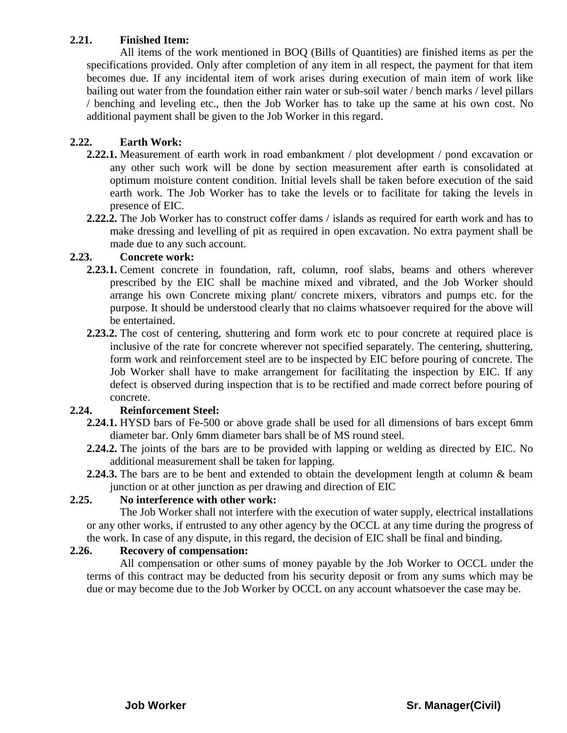#### **2.21. Finished Item:**

All items of the work mentioned in BOQ (Bills of Quantities) are finished items as per the specifications provided. Only after completion of any item in all respect, the payment for that item becomes due. If any incidental item of work arises during execution of main item of work like bailing out water from the foundation either rain water or sub-soil water / bench marks / level pillars / benching and leveling etc., then the Job Worker has to take up the same at his own cost. No additional payment shall be given to the Job Worker in this regard.

#### **2.22. Earth Work:**

- **2.22.1.** Measurement of earth work in road embankment / plot development / pond excavation or any other such work will be done by section measurement after earth is consolidated at optimum moisture content condition. Initial levels shall be taken before execution of the said earth work. The Job Worker has to take the levels or to facilitate for taking the levels in presence of EIC.
- **2.22.2.** The Job Worker has to construct coffer dams / islands as required for earth work and has to make dressing and levelling of pit as required in open excavation. No extra payment shall be made due to any such account.

#### **2.23. Concrete work:**

- **2.23.1.** Cement concrete in foundation, raft, column, roof slabs, beams and others wherever prescribed by the EIC shall be machine mixed and vibrated, and the Job Worker should arrange his own Concrete mixing plant/ concrete mixers, vibrators and pumps etc. for the purpose. It should be understood clearly that no claims whatsoever required for the above will be entertained.
- **2.23.2.** The cost of centering, shuttering and form work etc to pour concrete at required place is inclusive of the rate for concrete wherever not specified separately. The centering, shuttering, form work and reinforcement steel are to be inspected by EIC before pouring of concrete. The Job Worker shall have to make arrangement for facilitating the inspection by EIC. If any defect is observed during inspection that is to be rectified and made correct before pouring of concrete.

#### **2.24. Reinforcement Steel:**

- **2.24.1.** HYSD bars of Fe-500 or above grade shall be used for all dimensions of bars except 6mm diameter bar. Only 6mm diameter bars shall be of MS round steel.
- **2.24.2.** The joints of the bars are to be provided with lapping or welding as directed by EIC. No additional measurement shall be taken for lapping.
- **2.24.3.** The bars are to be bent and extended to obtain the development length at column & beam junction or at other junction as per drawing and direction of EIC

#### **2.25. No interference with other work:**

The Job Worker shall not interfere with the execution of water supply, electrical installations or any other works, if entrusted to any other agency by the OCCL at any time during the progress of the work. In case of any dispute, in this regard, the decision of EIC shall be final and binding.

#### **2.26. Recovery of compensation:**

All compensation or other sums of money payable by the Job Worker to OCCL under the terms of this contract may be deducted from his security deposit or from any sums which may be due or may become due to the Job Worker by OCCL on any account whatsoever the case may be.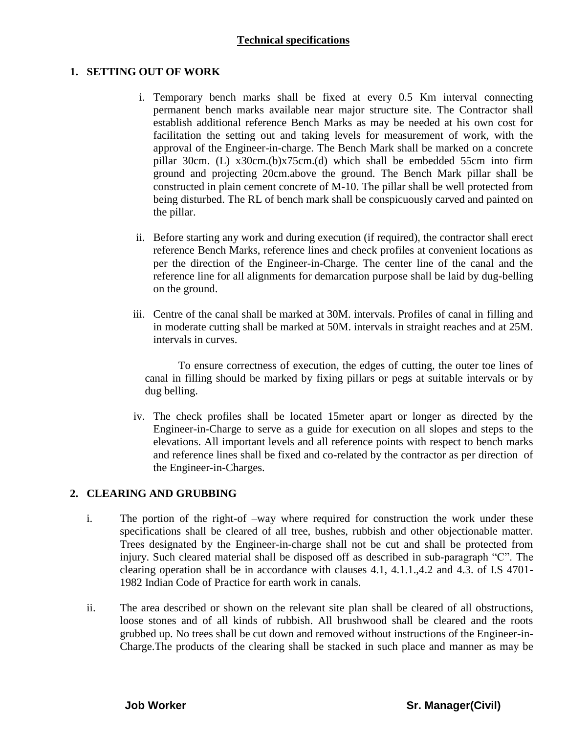#### **Technical specifications**

#### **1. SETTING OUT OF WORK**

- i. Temporary bench marks shall be fixed at every 0.5 Km interval connecting permanent bench marks available near major structure site. The Contractor shall establish additional reference Bench Marks as may be needed at his own cost for facilitation the setting out and taking levels for measurement of work, with the approval of the Engineer-in-charge. The Bench Mark shall be marked on a concrete pillar 30cm. (L) x30cm.(b)x75cm.(d) which shall be embedded 55cm into firm ground and projecting 20cm.above the ground. The Bench Mark pillar shall be constructed in plain cement concrete of M-10. The pillar shall be well protected from being disturbed. The RL of bench mark shall be conspicuously carved and painted on the pillar.
- ii. Before starting any work and during execution (if required), the contractor shall erect reference Bench Marks, reference lines and check profiles at convenient locations as per the direction of the Engineer-in-Charge. The center line of the canal and the reference line for all alignments for demarcation purpose shall be laid by dug-belling on the ground.
- iii. Centre of the canal shall be marked at 30M. intervals. Profiles of canal in filling and in moderate cutting shall be marked at 50M. intervals in straight reaches and at 25M. intervals in curves.

To ensure correctness of execution, the edges of cutting, the outer toe lines of canal in filling should be marked by fixing pillars or pegs at suitable intervals or by dug belling.

iv. The check profiles shall be located 15meter apart or longer as directed by the Engineer-in-Charge to serve as a guide for execution on all slopes and steps to the elevations. All important levels and all reference points with respect to bench marks and reference lines shall be fixed and co-related by the contractor as per direction of the Engineer-in-Charges.

#### **2. CLEARING AND GRUBBING**

- i. The portion of the right-of –way where required for construction the work under these specifications shall be cleared of all tree, bushes, rubbish and other objectionable matter. Trees designated by the Engineer-in-charge shall not be cut and shall be protected from injury. Such cleared material shall be disposed off as described in sub-paragraph "C". The clearing operation shall be in accordance with clauses 4.1, 4.1.1.,4.2 and 4.3. of I.S 4701- 1982 Indian Code of Practice for earth work in canals.
- ii. The area described or shown on the relevant site plan shall be cleared of all obstructions, loose stones and of all kinds of rubbish. All brushwood shall be cleared and the roots grubbed up. No trees shall be cut down and removed without instructions of the Engineer-in-Charge.The products of the clearing shall be stacked in such place and manner as may be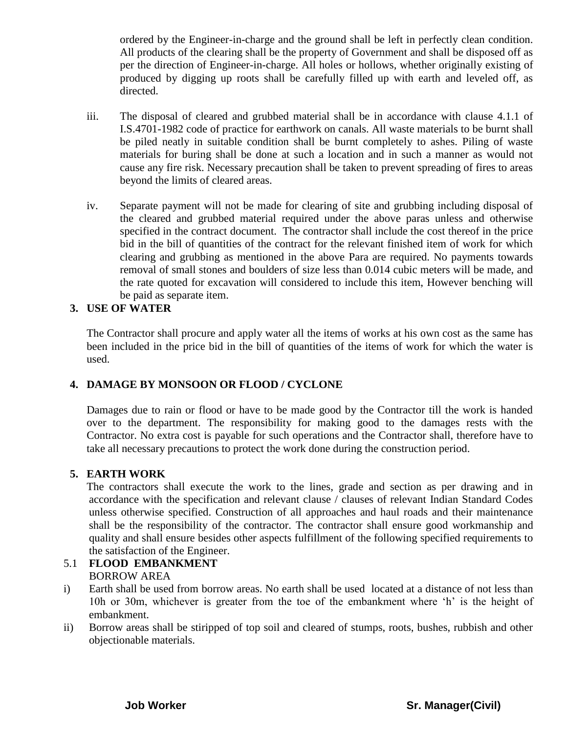ordered by the Engineer-in-charge and the ground shall be left in perfectly clean condition. All products of the clearing shall be the property of Government and shall be disposed off as per the direction of Engineer-in-charge. All holes or hollows, whether originally existing of produced by digging up roots shall be carefully filled up with earth and leveled off, as directed.

- iii. The disposal of cleared and grubbed material shall be in accordance with clause 4.1.1 of I.S.4701-1982 code of practice for earthwork on canals. All waste materials to be burnt shall be piled neatly in suitable condition shall be burnt completely to ashes. Piling of waste materials for buring shall be done at such a location and in such a manner as would not cause any fire risk. Necessary precaution shall be taken to prevent spreading of fires to areas beyond the limits of cleared areas.
- iv. Separate payment will not be made for clearing of site and grubbing including disposal of the cleared and grubbed material required under the above paras unless and otherwise specified in the contract document. The contractor shall include the cost thereof in the price bid in the bill of quantities of the contract for the relevant finished item of work for which clearing and grubbing as mentioned in the above Para are required. No payments towards removal of small stones and boulders of size less than 0.014 cubic meters will be made, and the rate quoted for excavation will considered to include this item, However benching will be paid as separate item.

#### **3. USE OF WATER**

The Contractor shall procure and apply water all the items of works at his own cost as the same has been included in the price bid in the bill of quantities of the items of work for which the water is used.

#### **4. DAMAGE BY MONSOON OR FLOOD / CYCLONE**

Damages due to rain or flood or have to be made good by the Contractor till the work is handed over to the department. The responsibility for making good to the damages rests with the Contractor. No extra cost is payable for such operations and the Contractor shall, therefore have to take all necessary precautions to protect the work done during the construction period.

#### **5. EARTH WORK**

The contractors shall execute the work to the lines, grade and section as per drawing and in accordance with the specification and relevant clause / clauses of relevant Indian Standard Codes unless otherwise specified. Construction of all approaches and haul roads and their maintenance shall be the responsibility of the contractor. The contractor shall ensure good workmanship and quality and shall ensure besides other aspects fulfillment of the following specified requirements to the satisfaction of the Engineer.

#### 5.1 **FLOOD EMBANKMENT** BORROW AREA

- i) Earth shall be used from borrow areas. No earth shall be used located at a distance of not less than 10h or 30m, whichever is greater from the toe of the embankment where 'h' is the height of embankment.
- ii) Borrow areas shall be stiripped of top soil and cleared of stumps, roots, bushes, rubbish and other objectionable materials.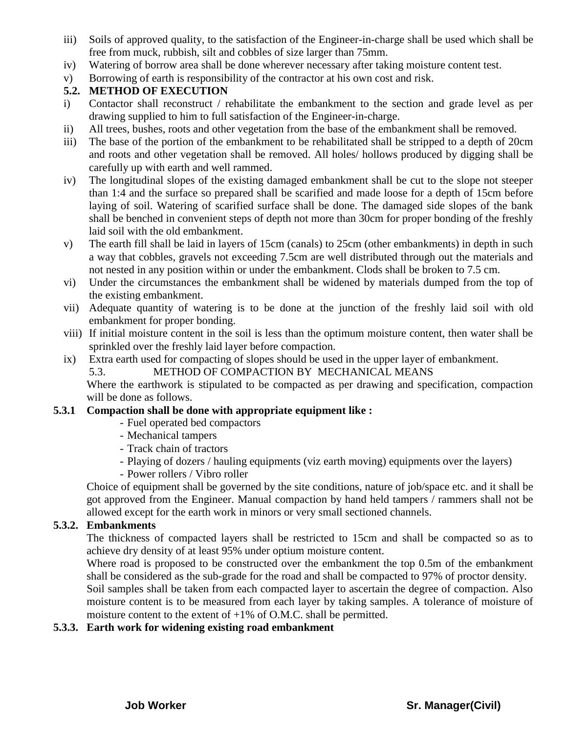- iii) Soils of approved quality, to the satisfaction of the Engineer-in-charge shall be used which shall be free from muck, rubbish, silt and cobbles of size larger than 75mm.
- iv) Watering of borrow area shall be done wherever necessary after taking moisture content test.
- v) Borrowing of earth is responsibility of the contractor at his own cost and risk.

#### **5.2. METHOD OF EXECUTION**

- i) Contactor shall reconstruct / rehabilitate the embankment to the section and grade level as per drawing supplied to him to full satisfaction of the Engineer-in-charge.
- ii) All trees, bushes, roots and other vegetation from the base of the embankment shall be removed.
- iii) The base of the portion of the embankment to be rehabilitated shall be stripped to a depth of 20cm and roots and other vegetation shall be removed. All holes/ hollows produced by digging shall be carefully up with earth and well rammed.
- iv) The longitudinal slopes of the existing damaged embankment shall be cut to the slope not steeper than 1:4 and the surface so prepared shall be scarified and made loose for a depth of 15cm before laying of soil. Watering of scarified surface shall be done. The damaged side slopes of the bank shall be benched in convenient steps of depth not more than 30cm for proper bonding of the freshly laid soil with the old embankment.
- v) The earth fill shall be laid in layers of 15cm (canals) to 25cm (other embankments) in depth in such a way that cobbles, gravels not exceeding 7.5cm are well distributed through out the materials and not nested in any position within or under the embankment. Clods shall be broken to 7.5 cm.
- vi) Under the circumstances the embankment shall be widened by materials dumped from the top of the existing embankment.
- vii) Adequate quantity of watering is to be done at the junction of the freshly laid soil with old embankment for proper bonding.
- viii) If initial moisture content in the soil is less than the optimum moisture content, then water shall be sprinkled over the freshly laid layer before compaction.
- ix) Extra earth used for compacting of slopes should be used in the upper layer of embankment.
	- 5.3. METHOD OF COMPACTION BY MECHANICAL MEANS

Where the earthwork is stipulated to be compacted as per drawing and specification, compaction will be done as follows.

#### **5.3.1 Compaction shall be done with appropriate equipment like :**

- Fuel operated bed compactors
- Mechanical tampers
- Track chain of tractors
- Playing of dozers / hauling equipments (viz earth moving) equipments over the layers)
- Power rollers / Vibro roller

Choice of equipment shall be governed by the site conditions, nature of job/space etc. and it shall be got approved from the Engineer. Manual compaction by hand held tampers / rammers shall not be allowed except for the earth work in minors or very small sectioned channels.

#### **5.3.2. Embankments**

The thickness of compacted layers shall be restricted to 15cm and shall be compacted so as to achieve dry density of at least 95% under optium moisture content.

Where road is proposed to be constructed over the embankment the top 0.5m of the embankment shall be considered as the sub-grade for the road and shall be compacted to 97% of proctor density.

Soil samples shall be taken from each compacted layer to ascertain the degree of compaction. Also moisture content is to be measured from each layer by taking samples. A tolerance of moisture of moisture content to the extent of  $+1\%$  of O.M.C. shall be permitted.

#### **5.3.3. Earth work for widening existing road embankment**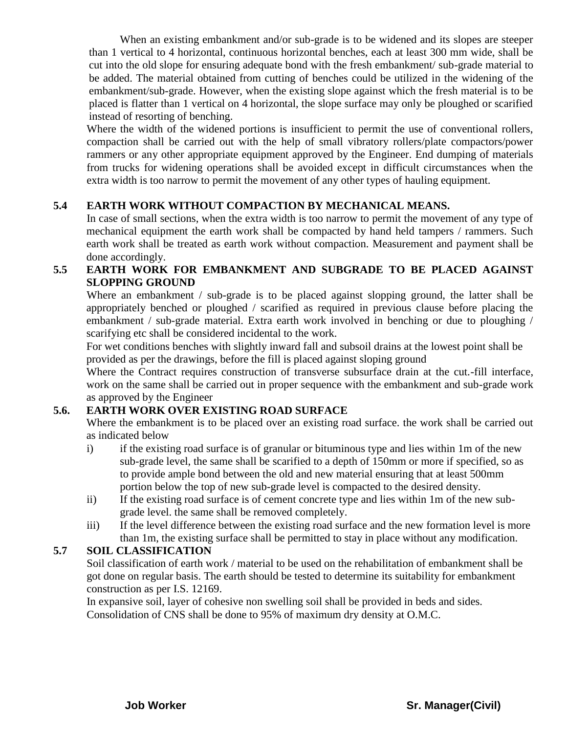When an existing embankment and/or sub-grade is to be widened and its slopes are steeper than 1 vertical to 4 horizontal, continuous horizontal benches, each at least 300 mm wide, shall be cut into the old slope for ensuring adequate bond with the fresh embankment/ sub-grade material to be added. The material obtained from cutting of benches could be utilized in the widening of the embankment/sub-grade. However, when the existing slope against which the fresh material is to be placed is flatter than 1 vertical on 4 horizontal, the slope surface may only be ploughed or scarified instead of resorting of benching.

Where the width of the widened portions is insufficient to permit the use of conventional rollers, compaction shall be carried out with the help of small vibratory rollers/plate compactors/power rammers or any other appropriate equipment approved by the Engineer. End dumping of materials from trucks for widening operations shall be avoided except in difficult circumstances when the extra width is too narrow to permit the movement of any other types of hauling equipment.

#### **5.4 EARTH WORK WITHOUT COMPACTION BY MECHANICAL MEANS.**

In case of small sections, when the extra width is too narrow to permit the movement of any type of mechanical equipment the earth work shall be compacted by hand held tampers / rammers. Such earth work shall be treated as earth work without compaction. Measurement and payment shall be done accordingly.

#### **5.5 EARTH WORK FOR EMBANKMENT AND SUBGRADE TO BE PLACED AGAINST SLOPPING GROUND**

Where an embankment / sub-grade is to be placed against slopping ground, the latter shall be appropriately benched or ploughed / scarified as required in previous clause before placing the embankment / sub-grade material. Extra earth work involved in benching or due to ploughing / scarifying etc shall be considered incidental to the work.

For wet conditions benches with slightly inward fall and subsoil drains at the lowest point shall be provided as per the drawings, before the fill is placed against sloping ground

Where the Contract requires construction of transverse subsurface drain at the cut.-fill interface, work on the same shall be carried out in proper sequence with the embankment and sub-grade work as approved by the Engineer

#### **5.6. EARTH WORK OVER EXISTING ROAD SURFACE**

Where the embankment is to be placed over an existing road surface. the work shall be carried out as indicated below

- i) if the existing road surface is of granular or bituminous type and lies within 1m of the new sub-grade level, the same shall be scarified to a depth of 150mm or more if specified, so as to provide ample bond between the old and new material ensuring that at least 500mm portion below the top of new sub-grade level is compacted to the desired density.
- ii) If the existing road surface is of cement concrete type and lies within 1m of the new subgrade level. the same shall be removed completely.
- iii) If the level difference between the existing road surface and the new formation level is more than 1m, the existing surface shall be permitted to stay in place without any modification.

#### **5.7 SOIL CLASSIFICATION**

Soil classification of earth work / material to be used on the rehabilitation of embankment shall be got done on regular basis. The earth should be tested to determine its suitability for embankment construction as per I.S. 12169.

In expansive soil, layer of cohesive non swelling soil shall be provided in beds and sides. Consolidation of CNS shall be done to 95% of maximum dry density at O.M.C.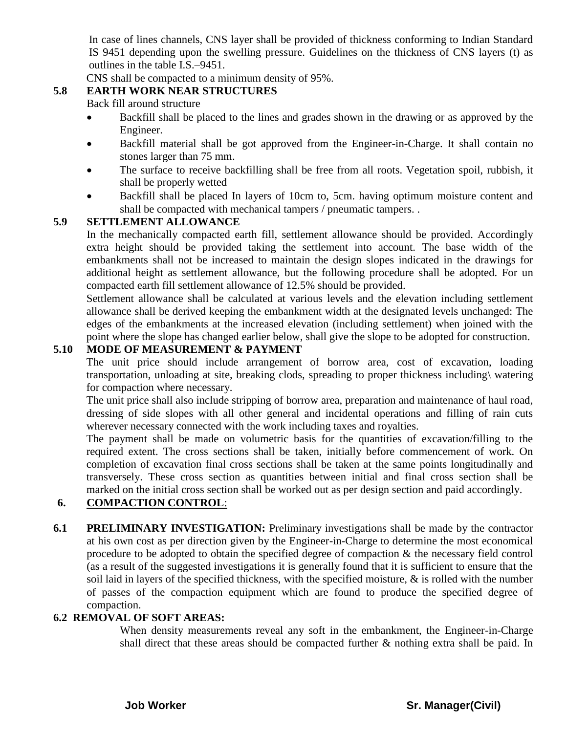In case of lines channels, CNS layer shall be provided of thickness conforming to Indian Standard IS 9451 depending upon the swelling pressure. Guidelines on the thickness of CNS layers (t) as outlines in the table I.S.–9451.

CNS shall be compacted to a minimum density of 95%.

#### **5.8 EARTH WORK NEAR STRUCTURES**

Back fill around structure

- Backfill shall be placed to the lines and grades shown in the drawing or as approved by the Engineer.
- Backfill material shall be got approved from the Engineer-in-Charge. It shall contain no stones larger than 75 mm.
- The surface to receive backfilling shall be free from all roots. Vegetation spoil, rubbish, it shall be properly wetted
- Backfill shall be placed In layers of 10cm to, 5cm. having optimum moisture content and shall be compacted with mechanical tampers / pneumatic tampers. .

#### **5.9 SETTLEMENT ALLOWANCE**

In the mechanically compacted earth fill, settlement allowance should be provided. Accordingly extra height should be provided taking the settlement into account. The base width of the embankments shall not be increased to maintain the design slopes indicated in the drawings for additional height as settlement allowance, but the following procedure shall be adopted. For un compacted earth fill settlement allowance of 12.5% should be provided.

Settlement allowance shall be calculated at various levels and the elevation including settlement allowance shall be derived keeping the embankment width at the designated levels unchanged: The edges of the embankments at the increased elevation (including settlement) when joined with the point where the slope has changed earlier below, shall give the slope to be adopted for construction.

#### **5.10 MODE OF MEASUREMENT & PAYMENT**

The unit price should include arrangement of borrow area, cost of excavation, loading transportation, unloading at site, breaking clods, spreading to proper thickness including\ watering for compaction where necessary.

The unit price shall also include stripping of borrow area, preparation and maintenance of haul road, dressing of side slopes with all other general and incidental operations and filling of rain cuts wherever necessary connected with the work including taxes and royalties.

The payment shall be made on volumetric basis for the quantities of excavation/filling to the required extent. The cross sections shall be taken, initially before commencement of work. On completion of excavation final cross sections shall be taken at the same points longitudinally and transversely. These cross section as quantities between initial and final cross section shall be marked on the initial cross section shall be worked out as per design section and paid accordingly.

#### **6. COMPACTION CONTROL**:

**6.1 PRELIMINARY INVESTIGATION:** Preliminary investigations shall be made by the contractor at his own cost as per direction given by the Engineer-in-Charge to determine the most economical procedure to be adopted to obtain the specified degree of compaction & the necessary field control (as a result of the suggested investigations it is generally found that it is sufficient to ensure that the soil laid in layers of the specified thickness, with the specified moisture,  $\&$  is rolled with the number of passes of the compaction equipment which are found to produce the specified degree of compaction.

#### **6.2 REMOVAL OF SOFT AREAS:**

When density measurements reveal any soft in the embankment, the Engineer-in-Charge shall direct that these areas should be compacted further & nothing extra shall be paid. In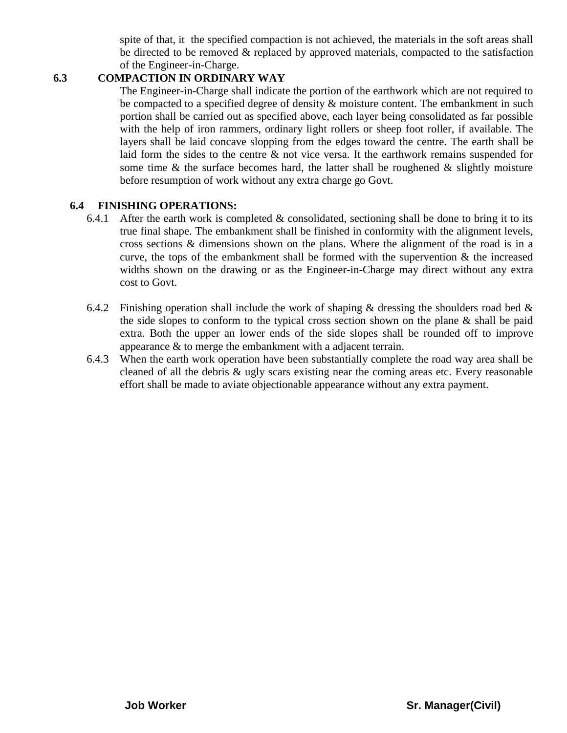spite of that, it the specified compaction is not achieved, the materials in the soft areas shall be directed to be removed & replaced by approved materials, compacted to the satisfaction of the Engineer-in-Charge.

#### **6.3 COMPACTION IN ORDINARY WAY**

The Engineer-in-Charge shall indicate the portion of the earthwork which are not required to be compacted to a specified degree of density  $\&$  moisture content. The embankment in such portion shall be carried out as specified above, each layer being consolidated as far possible with the help of iron rammers, ordinary light rollers or sheep foot roller, if available. The layers shall be laid concave slopping from the edges toward the centre. The earth shall be laid form the sides to the centre & not vice versa. It the earthwork remains suspended for some time  $\&$  the surface becomes hard, the latter shall be roughened  $\&$  slightly moisture before resumption of work without any extra charge go Govt.

#### **6.4 FINISHING OPERATIONS:**

- 6.4.1 After the earth work is completed  $\&$  consolidated, sectioning shall be done to bring it to its true final shape. The embankment shall be finished in conformity with the alignment levels, cross sections & dimensions shown on the plans. Where the alignment of the road is in a curve, the tops of the embankment shall be formed with the supervention  $\&$  the increased widths shown on the drawing or as the Engineer-in-Charge may direct without any extra cost to Govt.
- 6.4.2 Finishing operation shall include the work of shaping & dressing the shoulders road bed  $\&$ the side slopes to conform to the typical cross section shown on the plane  $\&$  shall be paid extra. Both the upper an lower ends of the side slopes shall be rounded off to improve appearance & to merge the embankment with a adjacent terrain.
- 6.4.3 When the earth work operation have been substantially complete the road way area shall be cleaned of all the debris & ugly scars existing near the coming areas etc. Every reasonable effort shall be made to aviate objectionable appearance without any extra payment.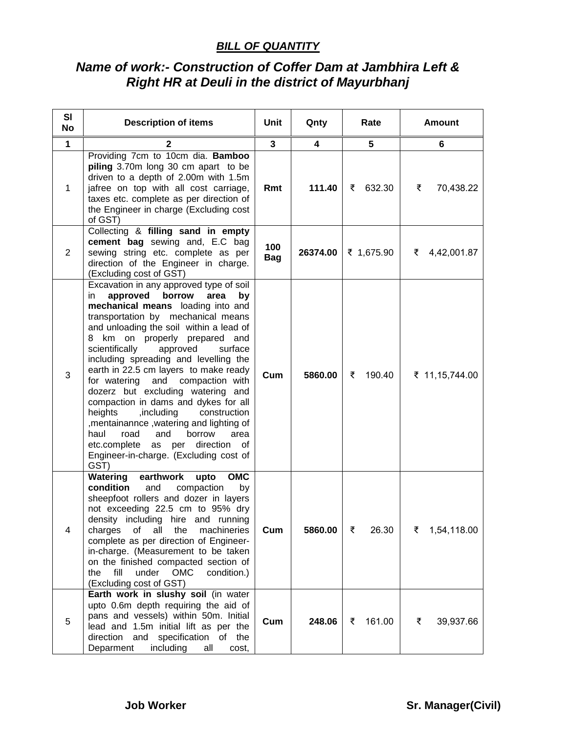#### *BILL OF QUANTITY*

# *Name of work:- Construction of Coffer Dam at Jambhira Left & Right HR at Deuli in the district of Mayurbhanj*

| SI<br><b>No</b> | <b>Description of items</b>                                                                                                                                                                                                                                                                                                                                                                                                                                                                                                                                                                                                                                                                                        | Unit              | Qnty     | Rate        | <b>Amount</b>    |
|-----------------|--------------------------------------------------------------------------------------------------------------------------------------------------------------------------------------------------------------------------------------------------------------------------------------------------------------------------------------------------------------------------------------------------------------------------------------------------------------------------------------------------------------------------------------------------------------------------------------------------------------------------------------------------------------------------------------------------------------------|-------------------|----------|-------------|------------------|
| $\mathbf 1$     | 2                                                                                                                                                                                                                                                                                                                                                                                                                                                                                                                                                                                                                                                                                                                  | $\mathbf{3}$      | 4        | 5           | 6                |
| $\mathbf 1$     | Providing 7cm to 10cm dia. Bamboo<br>piling 3.70m long 30 cm apart to be<br>driven to a depth of 2.00m with 1.5m<br>jafree on top with all cost carriage,<br>taxes etc. complete as per direction of<br>the Engineer in charge (Excluding cost<br>of GST)                                                                                                                                                                                                                                                                                                                                                                                                                                                          | Rmt               | 111.40   | 632.30<br>₹ | ₹<br>70,438.22   |
| $\overline{2}$  | Collecting & filling sand in empty<br>cement bag sewing and, E.C bag<br>sewing string etc. complete as per<br>direction of the Engineer in charge.<br>(Excluding cost of GST)                                                                                                                                                                                                                                                                                                                                                                                                                                                                                                                                      | 100<br><b>Bag</b> | 26374.00 | ₹ 1,675.90  | ₹ 4,42,001.87    |
| 3               | Excavation in any approved type of soil<br>approved<br>borrow<br>area<br>in.<br>by<br>mechanical means loading into and<br>transportation by mechanical means<br>and unloading the soil within a lead of<br>8 km on properly prepared and<br>approved<br>scientifically<br>surface<br>including spreading and levelling the<br>earth in 22.5 cm layers to make ready<br>for watering<br>and compaction with<br>dozerz but excluding watering and<br>compaction in dams and dykes for all<br>heights<br>,including<br>construction<br>, mentainannce, watering and lighting of<br>haul<br>road<br>and<br>borrow<br>area<br>as per direction<br>etc.complete<br>of<br>Engineer-in-charge. (Excluding cost of<br>GST) | Cum               | 5860.00  | ₹<br>190.40 | ₹ 11,15,744.00   |
| $\overline{4}$  | Watering<br><b>OMC</b><br>earthwork<br>upto<br>condition<br>and<br>compaction<br>by<br>sheepfoot rollers and dozer in layers<br>not exceeding 22.5 cm to 95% dry<br>density including hire and running<br>charges of all the<br>machineries<br>complete as per direction of Engineer-<br>in-charge. (Measurement to be taken<br>on the finished compacted section of<br>fill<br>under<br><b>OMC</b><br>the<br>condition.)<br>(Excluding cost of GST)                                                                                                                                                                                                                                                               | Cum               | 5860.00  | ₹<br>26.30  | 1,54,118.00<br>₹ |
| 5               | Earth work in slushy soil (in water<br>upto 0.6m depth requiring the aid of<br>pans and vessels) within 50m. Initial<br>lead and 1.5m initial lift as per the<br>direction<br>and<br>specification<br>of the<br>Deparment<br>including<br>all<br>cost,                                                                                                                                                                                                                                                                                                                                                                                                                                                             | Cum               | 248.06   | 161.00<br>₹ | ₹<br>39,937.66   |